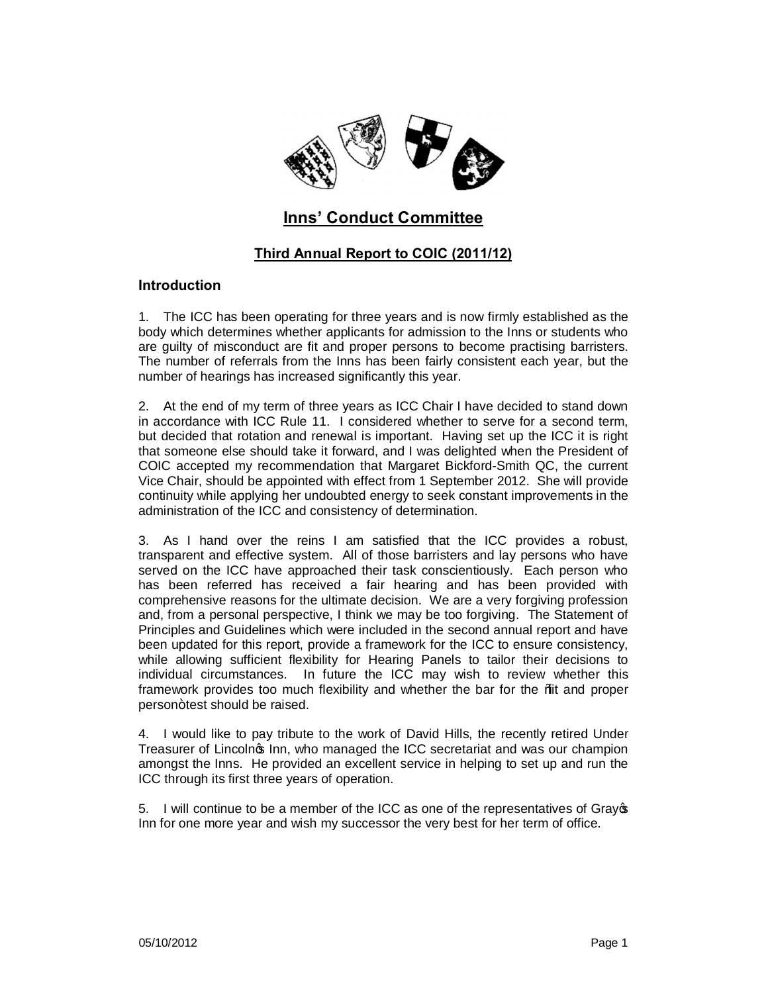

# **Inns' Conduct Committee**

## **Third Annual Report to COIC (2011/12)**

#### **Introduction**

1. The ICC has been operating for three years and is now firmly established as the body which determines whether applicants for admission to the Inns or students who are guilty of misconduct are fit and proper persons to become practising barristers. The number of referrals from the Inns has been fairly consistent each year, but the number of hearings has increased significantly this year.

2. At the end of my term of three years as ICC Chair I have decided to stand down in accordance with ICC Rule 11. I considered whether to serve for a second term, but decided that rotation and renewal is important. Having set up the ICC it is right that someone else should take it forward, and I was delighted when the President of COIC accepted my recommendation that Margaret Bickford-Smith QC, the current Vice Chair, should be appointed with effect from 1 September 2012. She will provide continuity while applying her undoubted energy to seek constant improvements in the administration of the ICC and consistency of determination.

3. As I hand over the reins I am satisfied that the ICC provides a robust, transparent and effective system. All of those barristers and lay persons who have served on the ICC have approached their task conscientiously. Each person who has been referred has received a fair hearing and has been provided with comprehensive reasons for the ultimate decision. We are a very forgiving profession and, from a personal perspective, I think we may be too forgiving. The Statement of Principles and Guidelines which were included in the second annual report and have been updated for this report, provide a framework for the ICC to ensure consistency, while allowing sufficient flexibility for Hearing Panels to tailor their decisions to individual circumstances. In future the ICC may wish to review whether this framework provides too much flexibility and whether the bar for the %it and proper person+test should be raised.

4. I would like to pay tribute to the work of David Hills, the recently retired Under Treasurer of Lincolnos Inn, who managed the ICC secretariat and was our champion amongst the Inns. He provided an excellent service in helping to set up and run the ICC through its first three years of operation.

5. I will continue to be a member of the ICC as one of the representatives of Gray's Inn for one more year and wish my successor the very best for her term of office.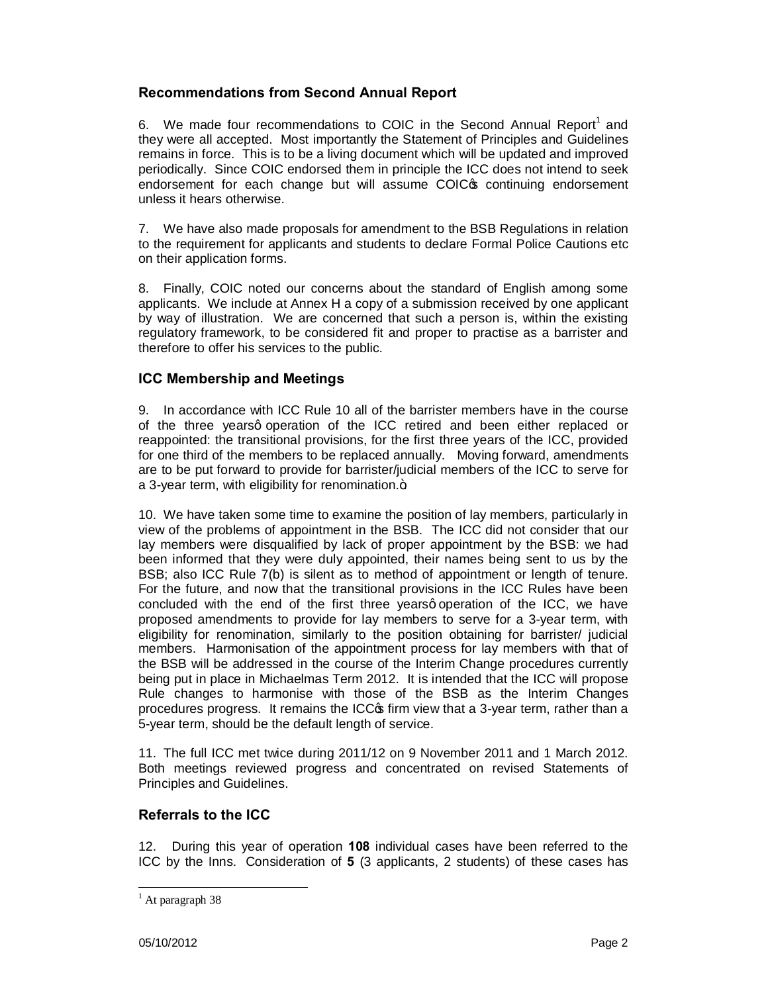### **Recommendations from Second Annual Report**

6. We made four recommendations to COIC in the Second Annual Report<sup>1</sup> and they were all accepted. Most importantly the Statement of Principles and Guidelines remains in force. This is to be a living document which will be updated and improved periodically. Since COIC endorsed them in principle the ICC does not intend to seek endorsement for each change but will assume COIC<sup>®</sup> continuing endorsement unless it hears otherwise.

7. We have also made proposals for amendment to the BSB Regulations in relation to the requirement for applicants and students to declare Formal Police Cautions etc on their application forms.

8. Finally, COIC noted our concerns about the standard of English among some applicants. We include at Annex H a copy of a submission received by one applicant by way of illustration. We are concerned that such a person is, within the existing regulatory framework, to be considered fit and proper to practise as a barrister and therefore to offer his services to the public.

### **ICC Membership and Meetings**

9. In accordance with ICC Rule 10 all of the barrister members have in the course of the three yearsg operation of the ICC retired and been either replaced or reappointed: the transitional provisions, for the first three years of the ICC, provided for one third of the members to be replaced annually. Moving forward, amendments are to be put forward to provide for barrister/judicial members of the ICC to serve for a 3-year term, with eligibility for renomination. $+$ 

10. We have taken some time to examine the position of lay members, particularly in view of the problems of appointment in the BSB. The ICC did not consider that our lay members were disqualified by lack of proper appointment by the BSB: we had been informed that they were duly appointed, their names being sent to us by the BSB; also ICC Rule 7(b) is silent as to method of appointment or length of tenure. For the future, and now that the transitional provisions in the ICC Rules have been concluded with the end of the first three yearsq operation of the ICC, we have proposed amendments to provide for lay members to serve for a 3-year term, with eligibility for renomination, similarly to the position obtaining for barrister/ judicial members. Harmonisation of the appointment process for lay members with that of the BSB will be addressed in the course of the Interim Change procedures currently being put in place in Michaelmas Term 2012. It is intended that the ICC will propose Rule changes to harmonise with those of the BSB as the Interim Changes procedures progress. It remains the ICC $\sigma$  firm view that a 3-year term, rather than a 5-year term, should be the default length of service.

11. The full ICC met twice during 2011/12 on 9 November 2011 and 1 March 2012. Both meetings reviewed progress and concentrated on revised Statements of Principles and Guidelines.

### **Referrals to the ICC**

12. During this year of operation **108** individual cases have been referred to the ICC by the Inns. Consideration of **5** (3 applicants, 2 students) of these cases has

 $<sup>1</sup>$  At paragraph 38</sup>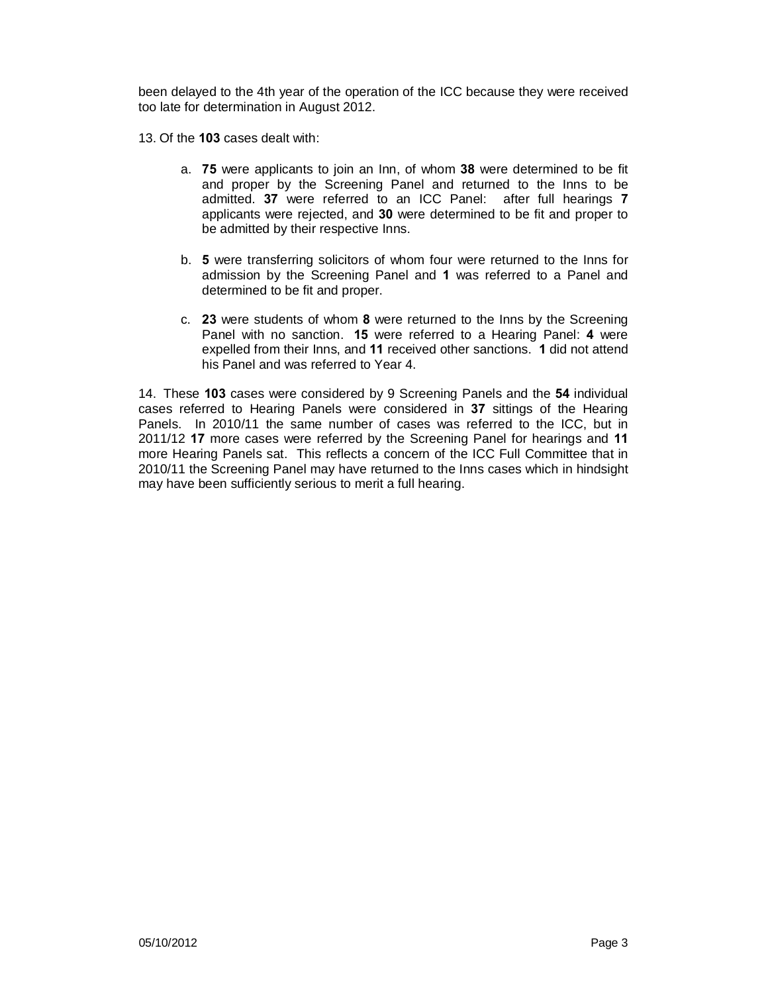been delayed to the 4th year of the operation of the ICC because they were received too late for determination in August 2012.

13. Of the **103** cases dealt with:

- a. **75** were applicants to join an Inn, of whom **38** were determined to be fit and proper by the Screening Panel and returned to the Inns to be admitted. **37** were referred to an ICC Panel: after full hearings **7** applicants were rejected, and **30** were determined to be fit and proper to be admitted by their respective Inns.
- b. **5** were transferring solicitors of whom four were returned to the Inns for admission by the Screening Panel and **1** was referred to a Panel and determined to be fit and proper.
- c. **23** were students of whom **8** were returned to the Inns by the Screening Panel with no sanction. **15** were referred to a Hearing Panel: **4** were expelled from their Inns, and **11** received other sanctions. **1** did not attend his Panel and was referred to Year 4.

14. These **103** cases were considered by 9 Screening Panels and the **54** individual cases referred to Hearing Panels were considered in **37** sittings of the Hearing Panels. In 2010/11 the same number of cases was referred to the ICC, but in 2011/12 **17** more cases were referred by the Screening Panel for hearings and **11** more Hearing Panels sat. This reflects a concern of the ICC Full Committee that in 2010/11 the Screening Panel may have returned to the Inns cases which in hindsight may have been sufficiently serious to merit a full hearing.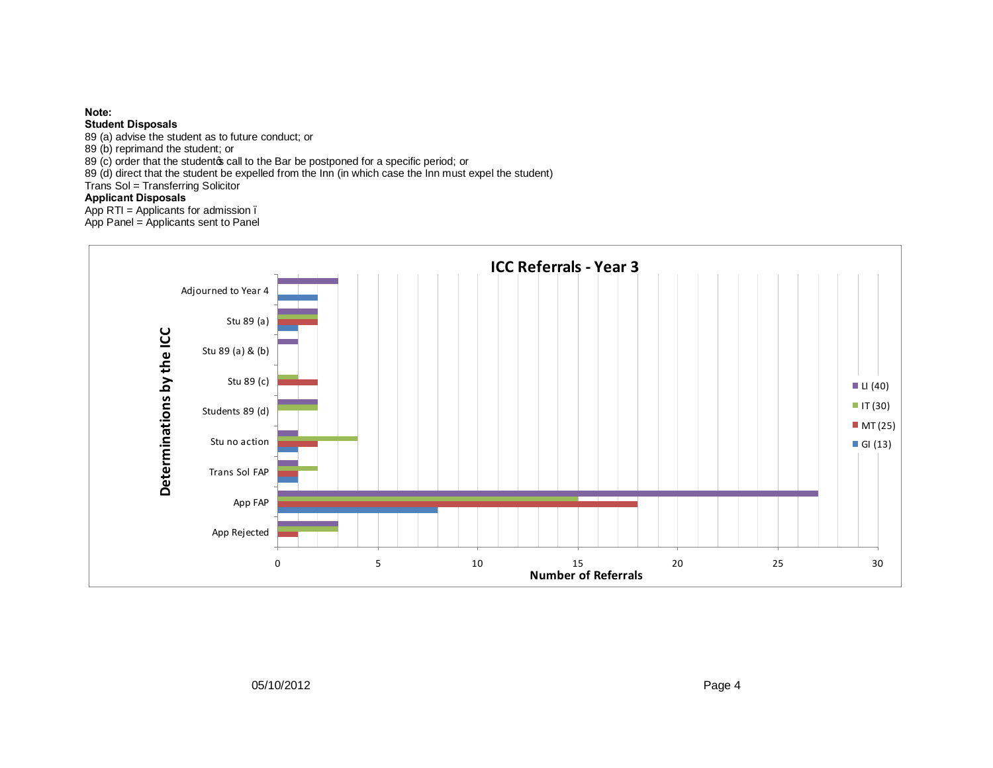#### **Note:**

**Student Disposals**

89 (a) advise the student as to future conduct; or

89 (b) reprimand the student; or

89 (c) order that the studentos call to the Bar be postponed for a specific period; or

89 (d) direct that the student be expelled from the Inn (in which case the Inn must expel the student)

Trans Sol = Transferring Solicitor

### **Applicant Disposals**

App  $RTI =$  Applicants for admission.

App Panel = Applicants sent to Panel

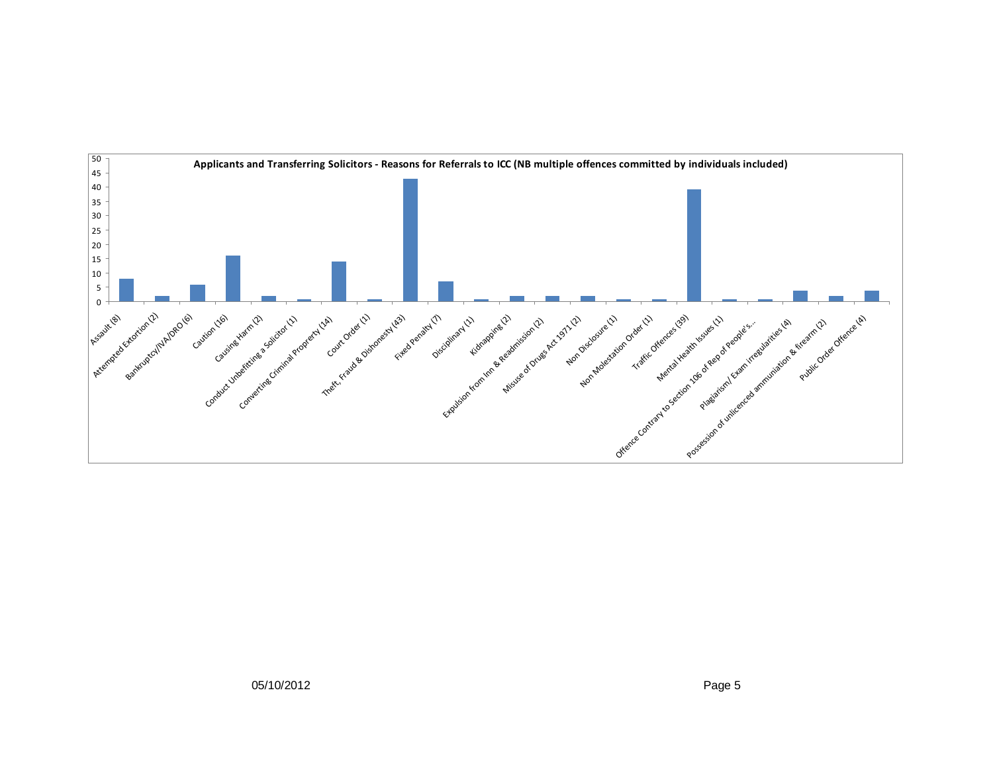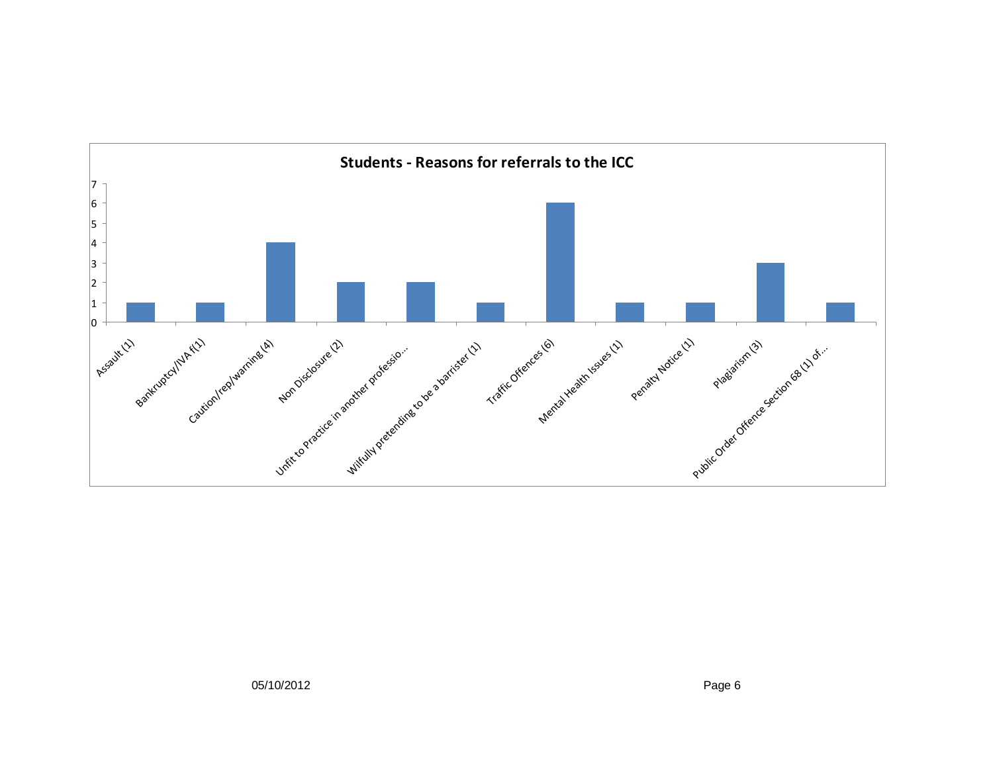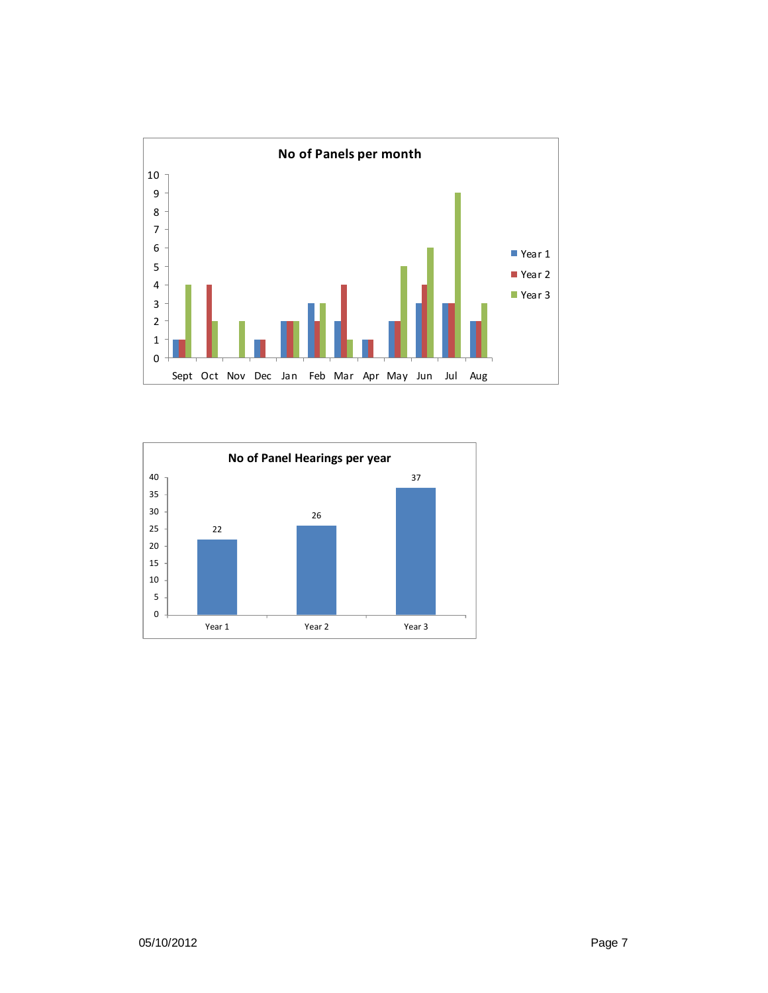

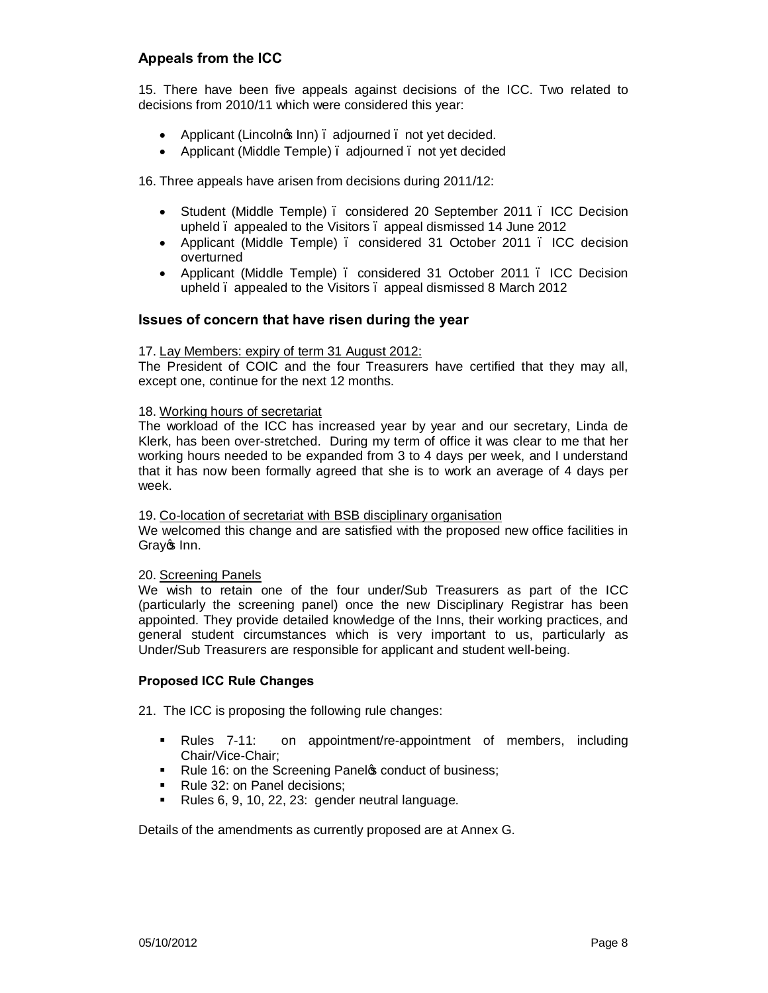### **Appeals from the ICC**

15. There have been five appeals against decisions of the ICC. Two related to decisions from 2010/11 which were considered this year:

- Applicant (Lincolnos Inn) adjourned unot yet decided.
- Applicant (Middle Temple) adjourned not yet decided

16. Three appeals have arisen from decisions during 2011/12:

- · Student (Middle Temple) considered 20 September 2011 ICC Decision upheld – appealed to the Visitors – appeal dismissed 14 June 2012
- · Applicant (Middle Temple) considered 31 October 2011 ICC decision overturned
- · Applicant (Middle Temple) considered 31 October 2011 ICC Decision upheld – appealed to the Visitors – appeal dismissed 8 March 2012

#### **Issues of concern that have risen during the year**

#### 17. Lay Members: expiry of term 31 August 2012:

The President of COIC and the four Treasurers have certified that they may all, except one, continue for the next 12 months.

#### 18. Working hours of secretariat

The workload of the ICC has increased year by year and our secretary, Linda de Klerk, has been over-stretched. During my term of office it was clear to me that her working hours needed to be expanded from 3 to 4 days per week, and I understand that it has now been formally agreed that she is to work an average of 4 days per week.

#### 19. Co-location of secretariat with BSB disciplinary organisation

We welcomed this change and are satisfied with the proposed new office facilities in Gray<sub><sup>os</sup> Inn.</sub>

#### 20. Screening Panels

We wish to retain one of the four under/Sub Treasurers as part of the ICC (particularly the screening panel) once the new Disciplinary Registrar has been appointed. They provide detailed knowledge of the Inns, their working practices, and general student circumstances which is very important to us, particularly as Under/Sub Treasurers are responsible for applicant and student well-being.

#### **Proposed ICC Rule Changes**

21. The ICC is proposing the following rule changes:

- ß Rules 7-11: on appointment/re-appointment of members, including Chair/Vice-Chair;
- Rule 16: on the Screening Panelos conduct of business;
- ß Rule 32: on Panel decisions;
- Rules 6, 9, 10, 22, 23: gender neutral language.

Details of the amendments as currently proposed are at Annex G.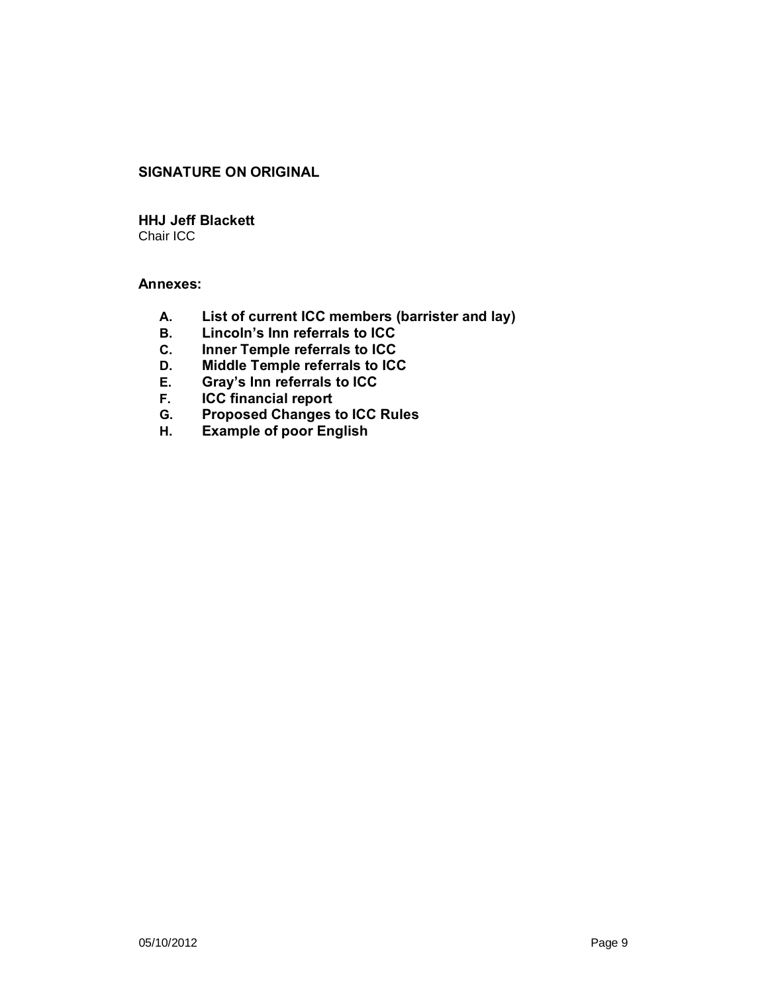### **SIGNATURE ON ORIGINAL**

**HHJ Jeff Blackett** Chair ICC

### **Annexes:**

- **A. List of current ICC members (barrister and lay)**
- **B. Lincoln's Inn referrals to ICC**
- **C. Inner Temple referrals to ICC**
- **D. Middle Temple referrals to ICC**
- **E. Gray's Inn referrals to ICC**
- **F. ICC financial report**
- **G. Proposed Changes to ICC Rules**
- **H. Example of poor English**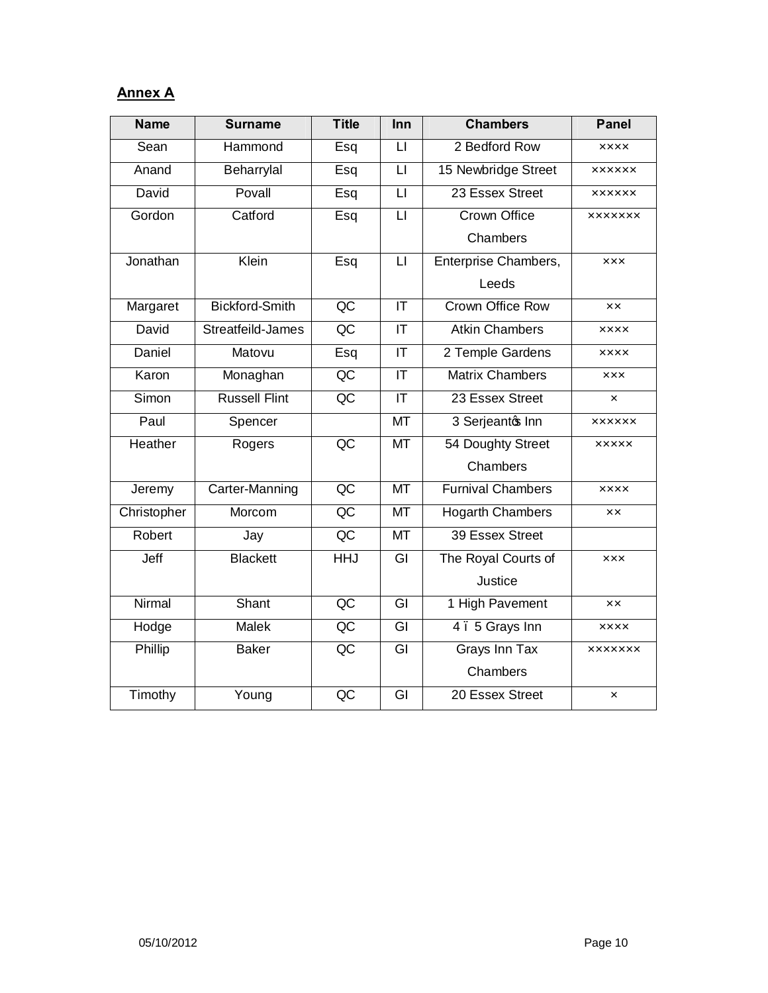# **Annex A**

| <b>Name</b>   | <b>Surname</b>        | <b>Title</b>      | Inn                               | <b>Chambers</b>          | <b>Panel</b>              |
|---------------|-----------------------|-------------------|-----------------------------------|--------------------------|---------------------------|
| Sean          | Hammond               | Esq               | $\mathsf{L}$                      | 2 Bedford Row            | <b>XXXX</b>               |
| Anand         | Beharrylal            | Esq               | $\overline{\mathsf{u}}$           | 15 Newbridge Street      | <b>XXXXXX</b>             |
| David         | Povall                | Esq               | $\overline{\mathsf{L}}$           | 23 Essex Street          | <b>XXXXXX</b>             |
| Gordon        | Catford               | Esq               | $\overline{\mathsf{L}}$           | <b>Crown Office</b>      | <b>XXXXXXX</b>            |
|               |                       |                   |                                   | Chambers                 |                           |
| Jonathan      | Klein                 | $\overline{E}$ sq | $\overline{\mathsf{L}}$           | Enterprise Chambers,     | <b>XXX</b>                |
|               |                       |                   |                                   | Leeds                    |                           |
| Margaret      | <b>Bickford-Smith</b> | $\overline{AC}$   | $\overline{\mathsf{I}\mathsf{T}}$ | Crown Office Row         | <b>XX</b>                 |
| David         | Streatfeild-James     | QC                | $\overline{\mathsf{I}\mathsf{T}}$ | <b>Atkin Chambers</b>    | <b>XXXX</b>               |
| <b>Daniel</b> | Matovu                | Esq               | $\overline{\mathsf{T}}$           | 2 Temple Gardens         | <b>XXXX</b>               |
| Karon         | Monaghan              | $\overline{AC}$   | $\overline{\mathsf{I}\mathsf{T}}$ | <b>Matrix Chambers</b>   | <b>XXX</b>                |
| Simon         | <b>Russell Flint</b>  | $\overline{AC}$   | IT                                | 23 Essex Street          | $\boldsymbol{\mathsf{x}}$ |
| Paul          | Spencer               |                   | MT                                | 3 Serjeantos Inn         | <b>XXXXXX</b>             |
| Heather       | Rogers                | $\overline{QC}$   | $\overline{MT}$                   | 54 Doughty Street        | <b>XXXXX</b>              |
|               |                       |                   |                                   | Chambers                 |                           |
| Jeremy        | Carter-Manning        | $\overline{AC}$   | MT                                | <b>Furnival Chambers</b> | <b>XXXX</b>               |
| Christopher   | Morcom                | $\overline{AC}$   | <b>MT</b>                         | <b>Hogarth Chambers</b>  | <b>XX</b>                 |
| Robert        | Jay                   | $\overline{QC}$   | <b>MT</b>                         | 39 Essex Street          |                           |
| Jeff          | <b>Blackett</b>       | <b>HHJ</b>        | $\overline{G}$                    | The Royal Courts of      | <b>XXX</b>                |
|               |                       |                   |                                   | Justice                  |                           |
| Nirmal        | Shant                 | $\overline{QC}$   | $\overline{GI}$                   | 1 High Pavement          | <b>XX</b>                 |
| Hodge         | <b>Malek</b>          | $\overline{AC}$   | $\overline{\mathsf{G}}$           | 4.5 Grays Inn            | <b>XXXX</b>               |
| Phillip       | <b>Baker</b>          | $\overline{QC}$   | $\overline{G}$                    | <b>Grays Inn Tax</b>     | <b>XXXXXXX</b>            |
|               |                       |                   |                                   | Chambers                 |                           |
| Timothy       | Young                 | $\overline{QC}$   | $\overline{\mathsf{G}}$           | 20 Essex Street          | $\pmb{\times}$            |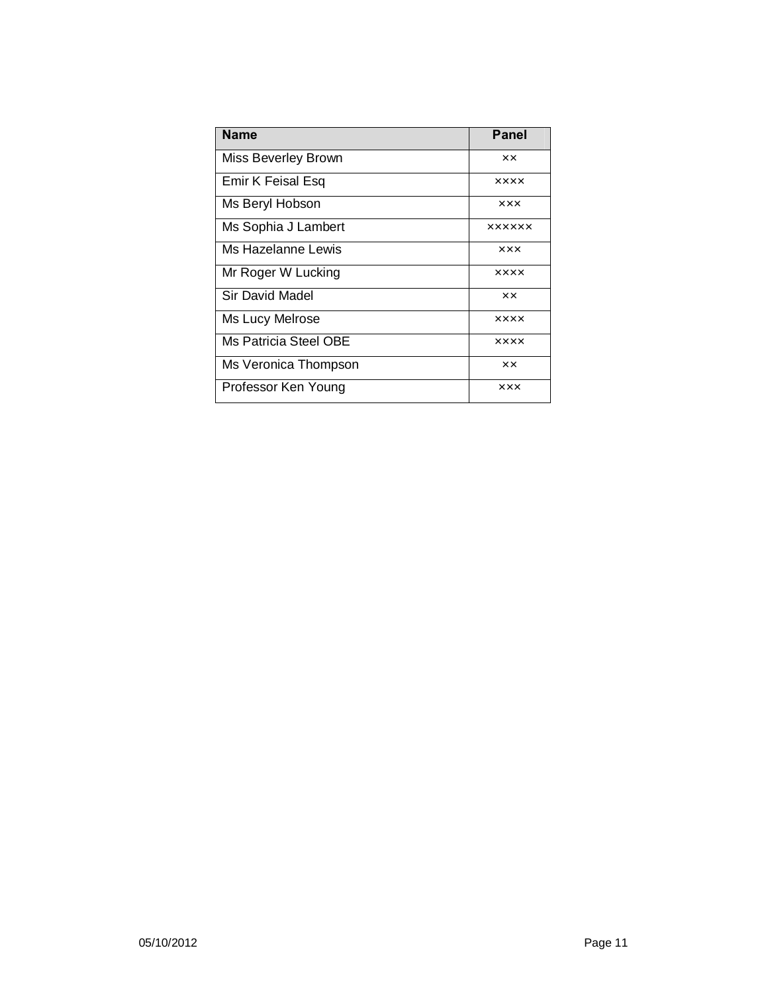| <b>Name</b>           | Panel         |
|-----------------------|---------------|
| Miss Beverley Brown   | хx            |
| Emir K Feisal Esq     | <b>XXXX</b>   |
| Ms Beryl Hobson       | xxx           |
| Ms Sophia J Lambert   | <b>XXXXXX</b> |
| Ms Hazelanne Lewis    | xxx           |
| Mr Roger W Lucking    | <b>XXXX</b>   |
| Sir David Madel       | xx            |
| Ms Lucy Melrose       | <b>XXXX</b>   |
| Ms Patricia Steel OBE | <b>XXXX</b>   |
| Ms Veronica Thompson  | ×х            |
| Professor Ken Young   | <b>XXX</b>    |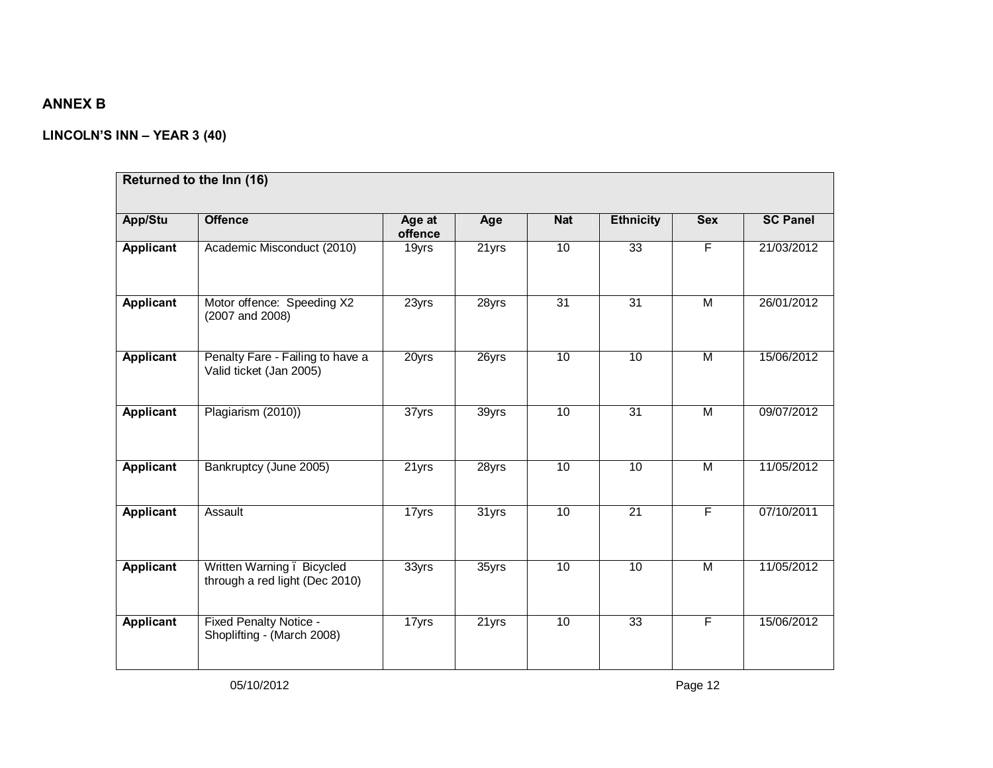# **ANNEX B**

## **LINCOLN'S INN – YEAR 3 (40)**

| App/Stu          | <b>Offence</b>                                              | Age at<br>offence | Age   | <b>Nat</b> | <b>Ethnicity</b> | <b>Sex</b>     | <b>SC Panel</b> |
|------------------|-------------------------------------------------------------|-------------------|-------|------------|------------------|----------------|-----------------|
| Applicant        | Academic Misconduct (2010)                                  | 19yrs             | 21yrs | 10         | 33               | $\overline{F}$ | 21/03/2012      |
| <b>Applicant</b> | Motor offence: Speeding X2<br>(2007 and 2008)               | 23yrs             | 28yrs | 31         | $\overline{31}$  | M              | 26/01/2012      |
| Applicant        | Penalty Fare - Failing to have a<br>Valid ticket (Jan 2005) | 20yrs             | 26yrs | 10         | 10               | M              | 15/06/2012      |
| Applicant        | Plagiarism (2010))                                          | 37yrs             | 39yrs | 10         | 31               | M              | 09/07/2012      |
| Applicant        | Bankruptcy (June 2005)                                      | 21yrs             | 28yrs | 10         | 10               | $\overline{M}$ | 11/05/2012      |
| Applicant        | Assault                                                     | 17yrs             | 31yrs | 10         | $\overline{21}$  | F              | 07/10/2011      |
| <b>Applicant</b> | Written Warning. Bicycled<br>through a red light (Dec 2010) | 33yrs             | 35yrs | 10         | 10               | $\overline{M}$ | 11/05/2012      |
| Applicant        | <b>Fixed Penalty Notice -</b><br>Shoplifting - (March 2008) | 17yrs             | 21yrs | 10         | $\overline{33}$  | F              | 15/06/2012      |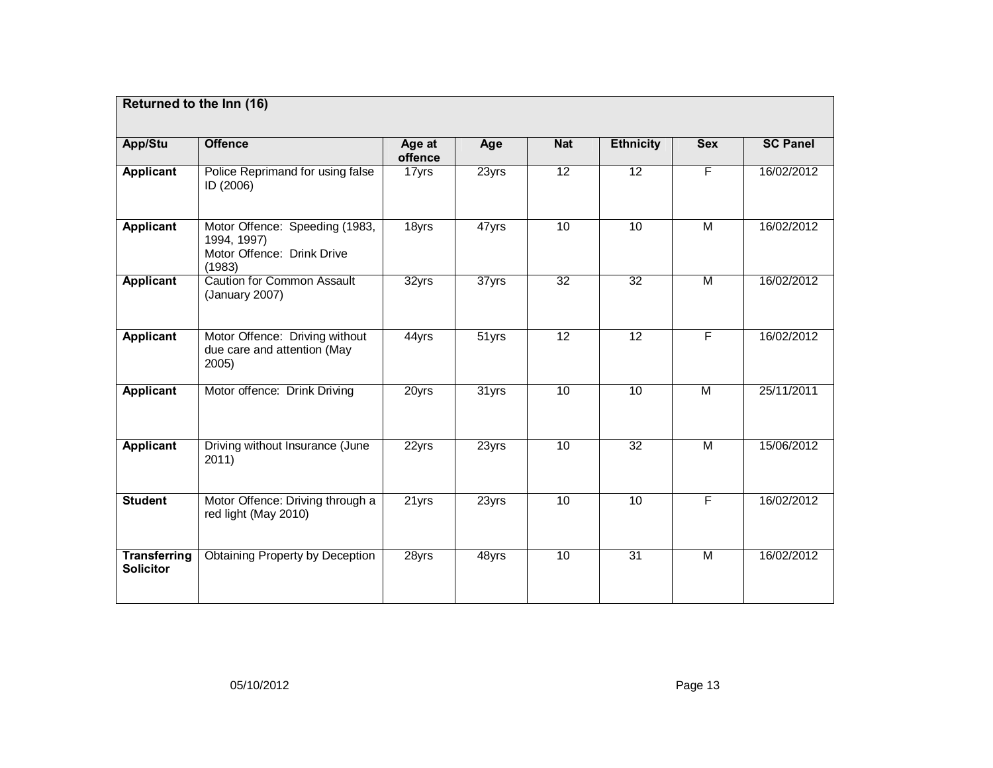| Returned to the Inn (16)                |                                                                                       |                   |       |                 |                  |                         |                 |
|-----------------------------------------|---------------------------------------------------------------------------------------|-------------------|-------|-----------------|------------------|-------------------------|-----------------|
| App/Stu                                 | <b>Offence</b>                                                                        | Age at<br>offence | Age   | <b>Nat</b>      | <b>Ethnicity</b> | <b>Sex</b>              | <b>SC Panel</b> |
| <b>Applicant</b>                        | Police Reprimand for using false<br>ID (2006)                                         | 17yrs             | 23yrs | 12              | $\overline{12}$  | F                       | 16/02/2012      |
| Applicant                               | Motor Offence: Speeding (1983,<br>1994, 1997)<br>Motor Offence: Drink Drive<br>(1983) | 18yrs             | 47yrs | 10              | 10               | M                       | 16/02/2012      |
| Applicant                               | <b>Caution for Common Assault</b><br>(January 2007)                                   | 32yrs             | 37yrs | $\overline{32}$ | $\overline{32}$  | $\overline{M}$          | 16/02/2012      |
| Applicant                               | Motor Offence: Driving without<br>due care and attention (May<br>2005                 | 44yrs             | 51yrs | $\overline{12}$ | $\overline{12}$  | $\overline{F}$          | 16/02/2012      |
| <b>Applicant</b>                        | Motor offence: Drink Driving                                                          | 20yrs             | 31yrs | 10              | 10               | $\overline{M}$          | 25/11/2011      |
| <b>Applicant</b>                        | Driving without Insurance (June<br>2011)                                              | 22yrs             | 23yrs | 10              | $\overline{32}$  | $\overline{\mathsf{M}}$ | 15/06/2012      |
| <b>Student</b>                          | Motor Offence: Driving through a<br>red light (May 2010)                              | 21yrs             | 23yrs | 10              | 10               | $\overline{F}$          | 16/02/2012      |
| <b>Transferring</b><br><b>Solicitor</b> | <b>Obtaining Property by Deception</b>                                                | 28yrs             | 48yrs | 10              | 31               | $\overline{M}$          | 16/02/2012      |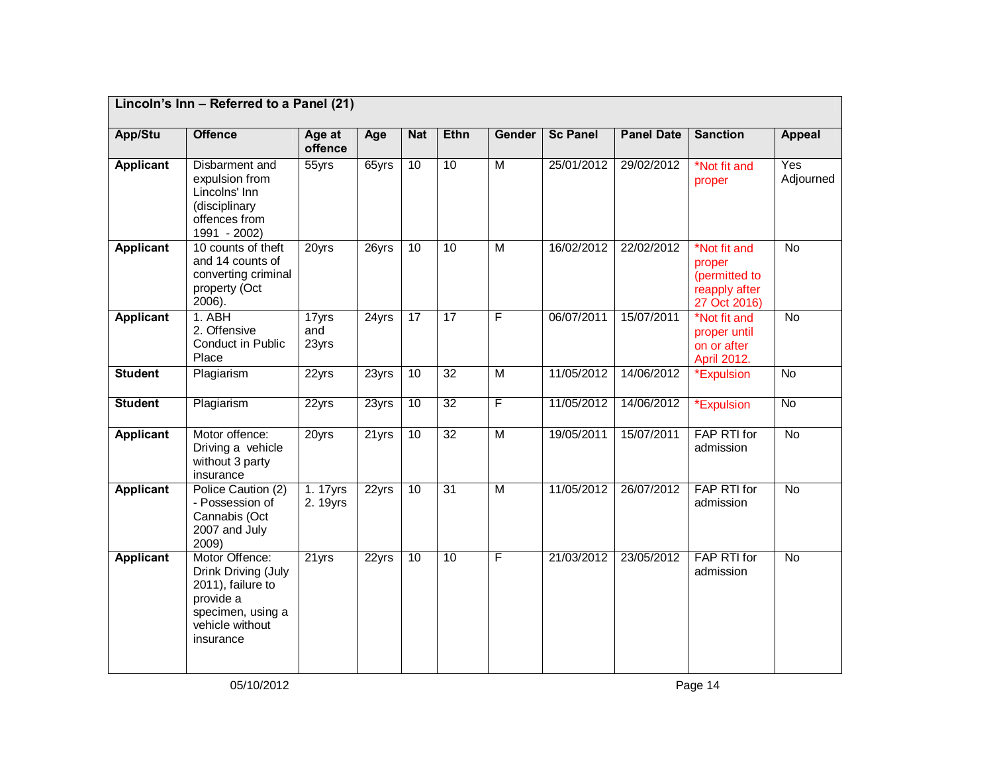|                  | Lincoln's Inn - Referred to a Panel (21)                                                                                     |                       |          |                 |             |                         |                 |                   |                                                                          |                  |
|------------------|------------------------------------------------------------------------------------------------------------------------------|-----------------------|----------|-----------------|-------------|-------------------------|-----------------|-------------------|--------------------------------------------------------------------------|------------------|
| App/Stu          | <b>Offence</b>                                                                                                               | Age at<br>offence     | Age      | <b>Nat</b>      | <b>Ethn</b> | <b>Gender</b>           | <b>Sc Panel</b> | <b>Panel Date</b> | <b>Sanction</b>                                                          | <b>Appeal</b>    |
| <b>Applicant</b> | Disbarment and<br>expulsion from<br>Lincolns' Inn<br>(disciplinary<br>offences from<br>1991 - 2002)                          | 55yrs                 | 65yrs    | 10              | 10          | M                       | 25/01/2012      | 29/02/2012        | *Not fit and<br>proper                                                   | Yes<br>Adjourned |
| <b>Applicant</b> | 10 counts of theft<br>and 14 counts of<br>converting criminal<br>property (Oct<br>2006).                                     | 20yrs                 | 26yrs    | $\overline{10}$ | 10          | $\overline{M}$          | 16/02/2012      | 22/02/2012        | *Not fit and<br>proper<br>(permitted to<br>reapply after<br>27 Oct 2016) | <b>No</b>        |
| <b>Applicant</b> | 1. ABH<br>2. Offensive<br>Conduct in Public<br>Place                                                                         | 17yrs<br>and<br>23yrs | $24$ yrs | 17              | 17          | F                       | 06/07/2011      | 15/07/2011        | *Not fit and<br>proper until<br>on or after<br>April 2012.               | $\overline{N}$   |
| <b>Student</b>   | Plagiarism                                                                                                                   | 22yrs                 | 23yrs    | 10              | 32          | $\overline{\mathsf{M}}$ | 11/05/2012      | 14/06/2012        | *Expulsion                                                               | $\overline{N}$   |
| <b>Student</b>   | Plagiarism                                                                                                                   | 22yrs                 | 23yrs    | 10              | 32          | F                       | 11/05/2012      | 14/06/2012        | Expulsion                                                                | <b>No</b>        |
| <b>Applicant</b> | Motor offence:<br>Driving a vehicle<br>without 3 party<br>insurance                                                          | 20yrs                 | 21yrs    | $\overline{10}$ | 32          | $\overline{M}$          | 19/05/2011      | 15/07/2011        | FAP RTI for<br>admission                                                 | <b>No</b>        |
| <b>Applicant</b> | Police Caution (2)<br>- Possession of<br>Cannabis (Oct<br>2007 and July<br>2009)                                             | 1.17yrs<br>2. 19yrs   | 22yrs    | 10              | 31          | $\overline{\mathsf{M}}$ | 11/05/2012      | 26/07/2012        | FAP RTI for<br>admission                                                 | <b>No</b>        |
| <b>Applicant</b> | Motor Offence:<br>Drink Driving (July<br>2011), failure to<br>provide a<br>specimen, using a<br>vehicle without<br>insurance | $21$ yrs              | 22yrs    | 10              | 10          | F                       | 21/03/2012      | 23/05/2012        | FAP RTI for<br>admission                                                 | $\overline{N}$   |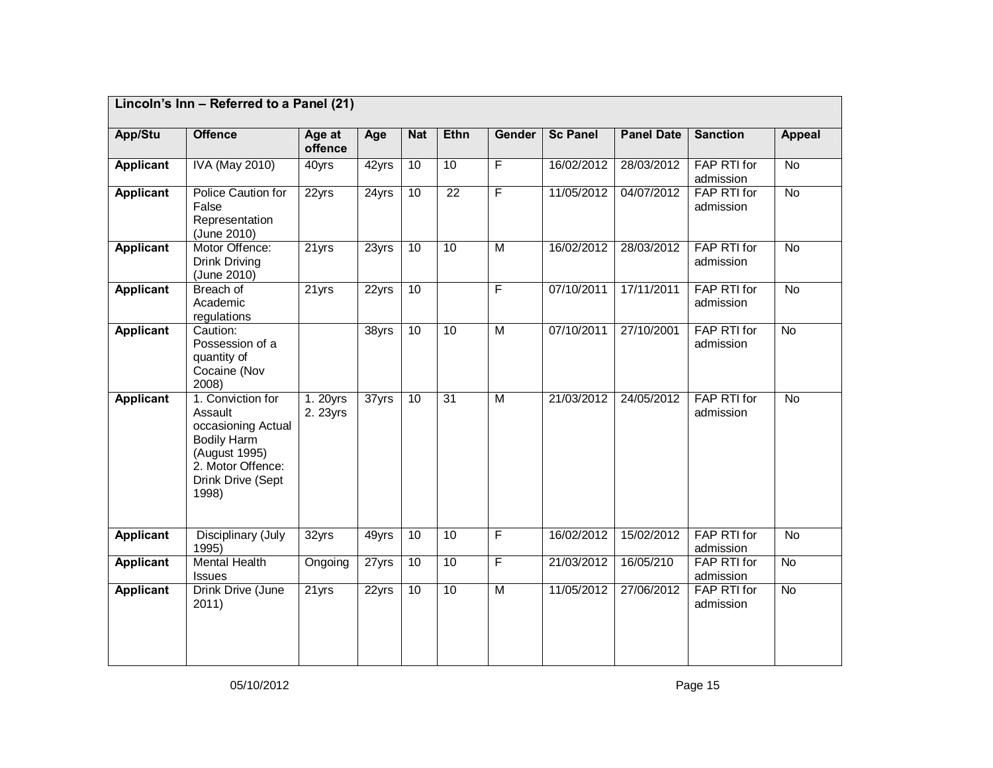|                  | Lincoln's Inn - Referred to a Panel (21)                                                                                                     |                      |                     |            |                 |                |                 |                   |                                 |                |
|------------------|----------------------------------------------------------------------------------------------------------------------------------------------|----------------------|---------------------|------------|-----------------|----------------|-----------------|-------------------|---------------------------------|----------------|
| App/Stu          | <b>Offence</b>                                                                                                                               | Age at<br>offence    | Age                 | <b>Nat</b> | <b>Ethn</b>     | <b>Gender</b>  | <b>Sc Panel</b> | <b>Panel Date</b> | <b>Sanction</b>                 | <b>Appeal</b>  |
| <b>Applicant</b> | <b>IVA (May 2010)</b>                                                                                                                        | 40yrs                | 42yrs               | 10         | 10              | $\overline{F}$ | 16/02/2012      | 28/03/2012        | FAP RTI for<br>admission        | $\overline{N}$ |
| <b>Applicant</b> | <b>Police Caution for</b><br>False<br>Representation<br>(June 2010)                                                                          | 22yrs                | 24yrs               | 10         | $\overline{22}$ | $\overline{F}$ | 11/05/2012      | 04/07/2012        | FAP RTI for<br>admission        | <b>No</b>      |
| <b>Applicant</b> | Motor Offence:<br>Drink Driving<br>(June 2010)                                                                                               | 21yrs                | 23yrs               | 10         | 10              | M              | 16/02/2012      | 28/03/2012        | FAP RTI for<br>admission        | $\overline{N}$ |
| <b>Applicant</b> | Breach of<br>Academic<br>regulations                                                                                                         | 21yrs                | 22yrs               | 10         |                 | $\overline{F}$ | 07/10/2011      | 17/11/2011        | FAP RTI for<br>admission        | <b>No</b>      |
| <b>Applicant</b> | Caution:<br>Possession of a<br>quantity of<br>Cocaine (Nov<br>2008)                                                                          |                      | $\overline{38}$ yrs | 10         | 10              | $\overline{M}$ | 07/10/2011      | 27/10/2001        | FAP RTI for<br>admission        | <b>No</b>      |
| <b>Applicant</b> | 1. Conviction for<br>Assault<br>occasioning Actual<br><b>Bodily Harm</b><br>(August 1995)<br>2. Motor Offence:<br>Drink Drive (Sept<br>1998) | 1. 20yrs<br>2. 23yrs | 37yrs               | 10         | 31              | M              | 21/03/2012      | 24/05/2012        | FAP RTI for<br>admission        | <b>No</b>      |
| <b>Applicant</b> | Disciplinary (July<br>1995)                                                                                                                  | 32yrs                | 49yrs               | 10         | 10              | $\overline{F}$ | 16/02/2012      | 15/02/2012        | FAP RTI for<br>admission        | $\overline{N}$ |
| <b>Applicant</b> | <b>Mental Health</b><br><b>Issues</b>                                                                                                        | Ongoing              | 27yrs               | 10         | 10              | $\overline{F}$ | 21/03/2012      | 16/05/210         | FAP RTI for<br>admission        | $\overline{N}$ |
| <b>Applicant</b> | Drink Drive (June<br>2011)                                                                                                                   | 21yrs                | 22yrs               | 10         | 10              | M              | 11/05/2012      | 27/06/2012        | <b>FAP RTI for</b><br>admission | $\overline{N}$ |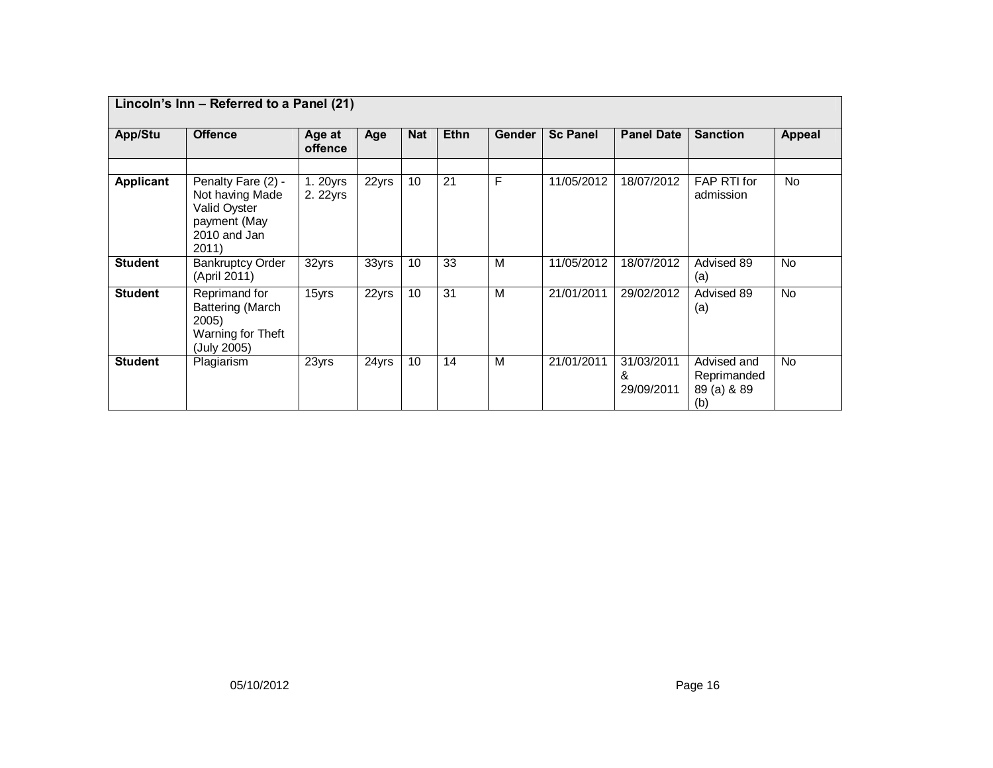|                | Lincoln's Inn - Referred to a Panel (21)                                                       |                      |       |            |             |               |                 |                               |                                                  |               |
|----------------|------------------------------------------------------------------------------------------------|----------------------|-------|------------|-------------|---------------|-----------------|-------------------------------|--------------------------------------------------|---------------|
| App/Stu        | <b>Offence</b>                                                                                 | Age at<br>offence    | Age   | <b>Nat</b> | <b>Ethn</b> | <b>Gender</b> | <b>Sc Panel</b> | <b>Panel Date</b>             | <b>Sanction</b>                                  | <b>Appeal</b> |
| Applicant      | Penalty Fare (2) -<br>Not having Made<br>Valid Oyster<br>payment (May<br>2010 and Jan<br>2011) | 1. 20yrs<br>2. 22yrs | 22yrs | 10         | 21          | F             | 11/05/2012      | 18/07/2012                    | FAP RTI for<br>admission                         | <b>No</b>     |
| <b>Student</b> | <b>Bankruptcy Order</b><br>(April 2011)                                                        | 32yrs                | 33yrs | 10         | 33          | м             | 11/05/2012      | 18/07/2012                    | Advised 89<br>(a)                                | <b>No</b>     |
| <b>Student</b> | Reprimand for<br>Battering (March<br>2005)<br>Warning for Theft<br>(July 2005)                 | 15yrs                | 22yrs | 10         | 31          | M             | 21/01/2011      | 29/02/2012                    | Advised 89<br>(a)                                | <b>No</b>     |
| <b>Student</b> | Plagiarism                                                                                     | 23yrs                | 24yrs | 10         | 14          | м             | 21/01/2011      | 31/03/2011<br>&<br>29/09/2011 | Advised and<br>Reprimanded<br>89 (a) & 89<br>(b) | <b>No</b>     |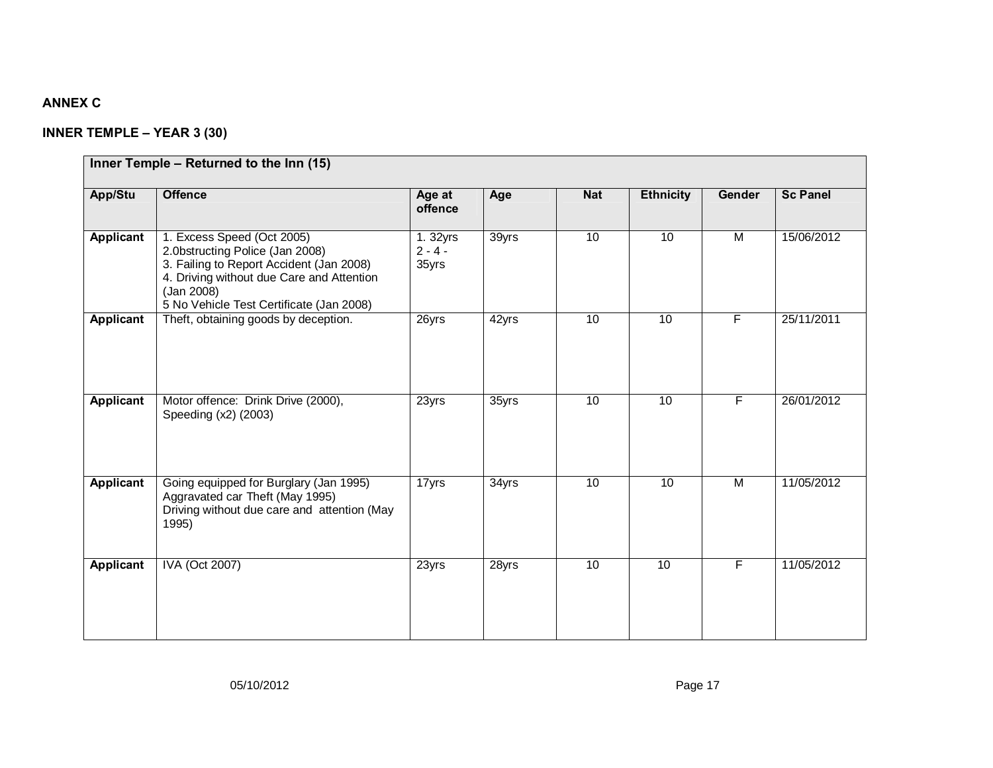# **ANNEX C**

# **INNER TEMPLE – YEAR 3 (30)**

|                  | Inner Temple - Returned to the Inn (15)                                                                                                                                                                          |                               |       |            |                  |                |                 |
|------------------|------------------------------------------------------------------------------------------------------------------------------------------------------------------------------------------------------------------|-------------------------------|-------|------------|------------------|----------------|-----------------|
| App/Stu          | <b>Offence</b>                                                                                                                                                                                                   | Age at<br>offence             | Age   | <b>Nat</b> | <b>Ethnicity</b> | Gender         | <b>Sc Panel</b> |
| <b>Applicant</b> | 1. Excess Speed (Oct 2005)<br>2.0bstructing Police (Jan 2008)<br>3. Failing to Report Accident (Jan 2008)<br>4. Driving without due Care and Attention<br>(Jan 2008)<br>5 No Vehicle Test Certificate (Jan 2008) | 1.32yrs<br>$2 - 4 -$<br>35yrs | 39yrs | 10         | 10               | M              | 15/06/2012      |
| <b>Applicant</b> | Theft, obtaining goods by deception.                                                                                                                                                                             | 26yrs                         | 42yrs | 10         | $\overline{10}$  | F              | 25/11/2011      |
| <b>Applicant</b> | Motor offence: Drink Drive (2000),<br>Speeding (x2) (2003)                                                                                                                                                       | 23yrs                         | 35yrs | 10         | 10               | $\overline{F}$ | 26/01/2012      |
| Applicant        | Going equipped for Burglary (Jan 1995)<br>Aggravated car Theft (May 1995)<br>Driving without due care and attention (May<br>1995)                                                                                | 17yrs                         | 34yrs | 10         | 10               | M              | 11/05/2012      |
| Applicant        | <b>IVA (Oct 2007)</b>                                                                                                                                                                                            | 23yrs                         | 28yrs | 10         | 10               | F.             | 11/05/2012      |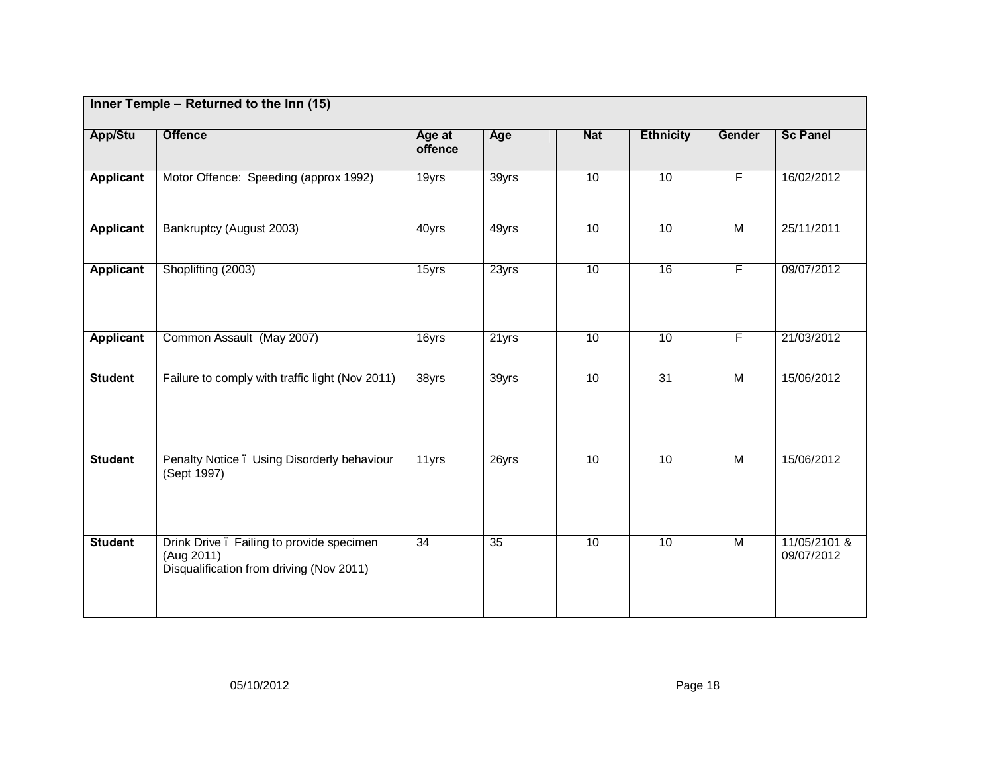|                  | Inner Temple - Returned to the Inn (15)                                                            |                   |                 |            |                  |                         |                            |
|------------------|----------------------------------------------------------------------------------------------------|-------------------|-----------------|------------|------------------|-------------------------|----------------------------|
| App/Stu          | <b>Offence</b>                                                                                     | Age at<br>offence | Age             | <b>Nat</b> | <b>Ethnicity</b> | Gender                  | <b>Sc Panel</b>            |
| <b>Applicant</b> | Motor Offence: Speeding (approx 1992)                                                              | 19yrs             | 39yrs           | 10         | 10               | F                       | 16/02/2012                 |
| <b>Applicant</b> | Bankruptcy (August 2003)                                                                           | 40yrs             | 49yrs           | 10         | 10               | $\overline{\mathsf{M}}$ | 25/11/2011                 |
| <b>Applicant</b> | Shoplifting (2003)                                                                                 | 15yrs             | 23yrs           | 10         | 16               | $\overline{F}$          | 09/07/2012                 |
| <b>Applicant</b> | Common Assault (May 2007)                                                                          | 16yrs             | 21yrs           | 10         | 10               | F                       | 21/03/2012                 |
| <b>Student</b>   | Failure to comply with traffic light (Nov 2011)                                                    | 38yrs             | 39yrs           | 10         | 31               | $\overline{\mathsf{M}}$ | 15/06/2012                 |
| <b>Student</b>   | Penalty Notice. Using Disorderly behaviour<br>(Sept 1997)                                          | 11yrs             | 26yrs           | 10         | 10               | $\overline{\mathsf{M}}$ | 15/06/2012                 |
| <b>Student</b>   | Drink Drive. Failing to provide specimen<br>(Aug 2011)<br>Disqualification from driving (Nov 2011) | $\overline{34}$   | $\overline{35}$ | 10         | 10               | $\overline{M}$          | 11/05/2101 &<br>09/07/2012 |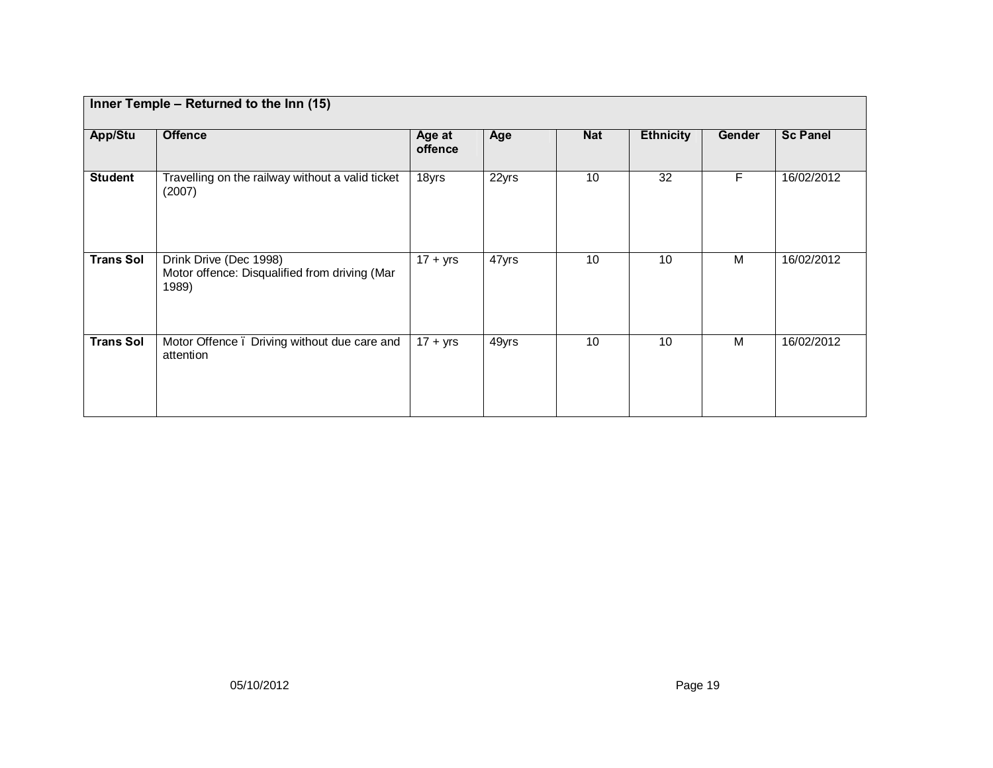|                  | Inner Temple - Returned to the Inn (15)                                          |                   |       |            |                  |        |                 |
|------------------|----------------------------------------------------------------------------------|-------------------|-------|------------|------------------|--------|-----------------|
| App/Stu          | <b>Offence</b>                                                                   | Age at<br>offence | Age   | <b>Nat</b> | <b>Ethnicity</b> | Gender | <b>Sc Panel</b> |
| <b>Student</b>   | Travelling on the railway without a valid ticket<br>(2007)                       | 18yrs             | 22yrs | 10         | 32               | F      | 16/02/2012      |
| <b>Trans Sol</b> | Drink Drive (Dec 1998)<br>Motor offence: Disqualified from driving (Mar<br>1989) | $17 + yrs$        | 47yrs | 10         | 10               | M      | 16/02/2012      |
| <b>Trans Sol</b> | Motor Offence. Driving without due care and<br>attention                         | $17 + yrs$        | 49yrs | 10         | 10               | M      | 16/02/2012      |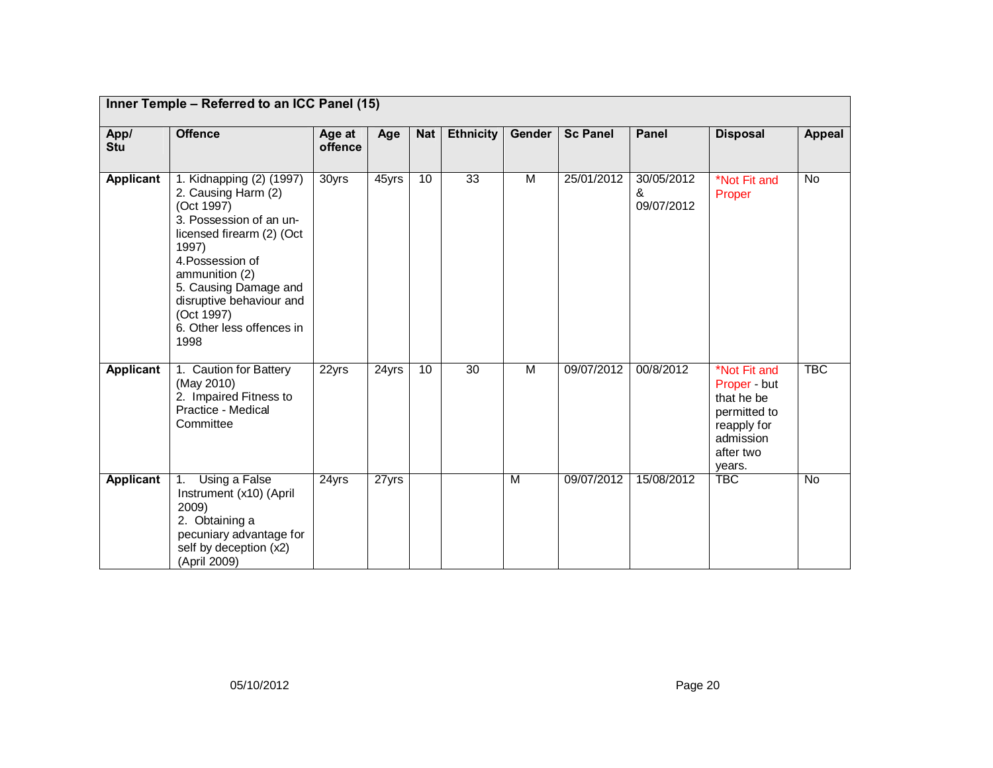|                  | Inner Temple - Referred to an ICC Panel (15)                                                                                                                                                                                                                                 |                   |       |            |                  |        |                 |                               |                                                                                                               |               |
|------------------|------------------------------------------------------------------------------------------------------------------------------------------------------------------------------------------------------------------------------------------------------------------------------|-------------------|-------|------------|------------------|--------|-----------------|-------------------------------|---------------------------------------------------------------------------------------------------------------|---------------|
| App/<br>Stu      | <b>Offence</b>                                                                                                                                                                                                                                                               | Age at<br>offence | Age   | <b>Nat</b> | <b>Ethnicity</b> | Gender | <b>Sc Panel</b> | <b>Panel</b>                  | <b>Disposal</b>                                                                                               | <b>Appeal</b> |
| <b>Applicant</b> | 1. Kidnapping (2) (1997)<br>2. Causing Harm (2)<br>(Oct 1997)<br>3. Possession of an un-<br>licensed firearm (2) (Oct<br>1997)<br>4. Possession of<br>ammunition (2)<br>5. Causing Damage and<br>disruptive behaviour and<br>(Oct 1997)<br>6. Other less offences in<br>1998 | 30yrs             | 45yrs | 10         | $\overline{33}$  | M      | 25/01/2012      | 30/05/2012<br>&<br>09/07/2012 | *Not Fit and<br>Proper                                                                                        | No            |
| <b>Applicant</b> | 1. Caution for Battery<br>(May 2010)<br>2. Impaired Fitness to<br>Practice - Medical<br>Committee                                                                                                                                                                            | 22yrs             | 24yrs | 10         | 30               | M      | 09/07/2012      | 00/8/2012                     | *Not Fit and<br>Proper - but<br>that he be<br>permitted to<br>reapply for<br>admission<br>after two<br>years. | <b>TBC</b>    |
| Applicant        | Using a False<br>1.<br>Instrument (x10) (April<br>2009)<br>2. Obtaining a<br>pecuniary advantage for<br>self by deception (x2)<br>(April 2009)                                                                                                                               | 24yrs             | 27yrs |            |                  | M      | 09/07/2012      | 15/08/2012                    | <b>TBC</b>                                                                                                    | <b>No</b>     |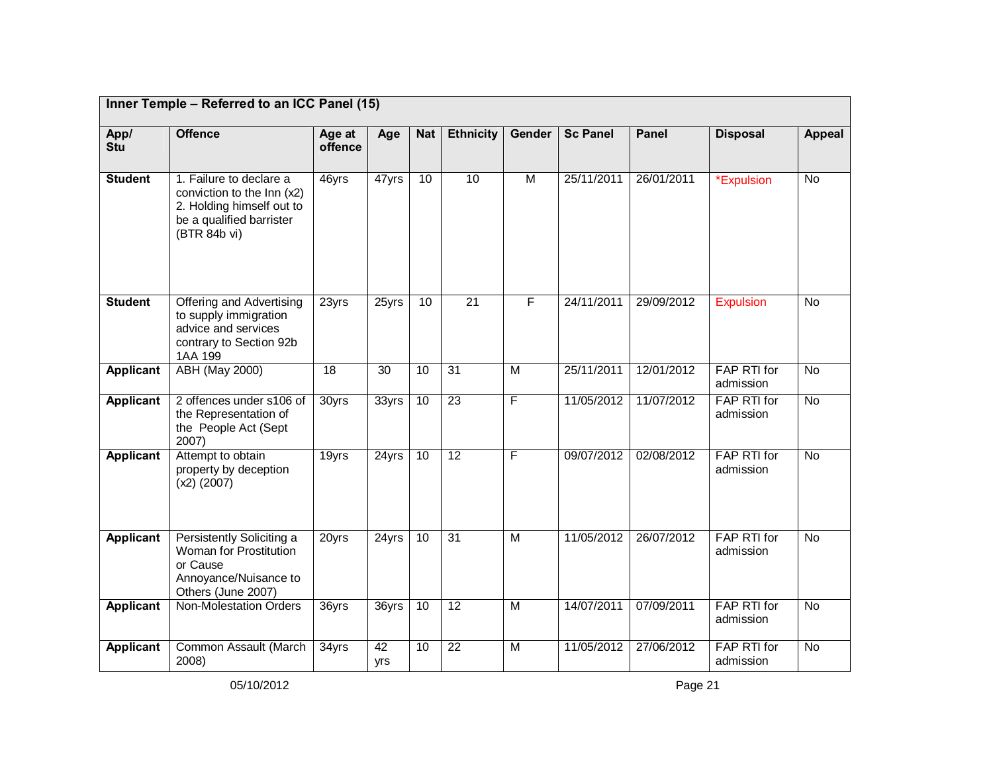|                    | Inner Temple - Referred to an ICC Panel (15)                                                                                   |                   |                 |                 |                  |                |                 |              |                                 |                |
|--------------------|--------------------------------------------------------------------------------------------------------------------------------|-------------------|-----------------|-----------------|------------------|----------------|-----------------|--------------|---------------------------------|----------------|
| App/<br><b>Stu</b> | <b>Offence</b>                                                                                                                 | Age at<br>offence | Age             | <b>Nat</b>      | <b>Ethnicity</b> | Gender         | <b>Sc Panel</b> | <b>Panel</b> | <b>Disposal</b>                 | <b>Appeal</b>  |
| <b>Student</b>     | 1. Failure to declare a<br>conviction to the Inn (x2)<br>2. Holding himself out to<br>be a qualified barrister<br>(BTR 84b vi) | 46yrs             | $47$ yrs        | $\overline{10}$ | 10               | $\overline{M}$ | 25/11/2011      | 26/01/2011   | *Expulsion                      | $\overline{N}$ |
| <b>Student</b>     | Offering and Advertising<br>to supply immigration<br>advice and services<br>contrary to Section 92b<br>1AA 199                 | 23yrs             | 25yrs           | 10              | $\overline{21}$  | F              | 24/11/2011      | 29/09/2012   | <b>Expulsion</b>                | <b>No</b>      |
| <b>Applicant</b>   | <b>ABH (May 2000)</b>                                                                                                          | 18                | $\overline{30}$ | $\overline{10}$ | 31               | $\overline{M}$ | 25/11/2011      | 12/01/2012   | FAP RTI for<br>admission        | $\overline{N}$ |
| Applicant          | 2 offences under s106 of<br>the Representation of<br>the People Act (Sept<br>2007)                                             | 30yrs             | 33yrs           | $\overline{10}$ | 23               | F              | 11/05/2012      | 11/07/2012   | FAP RTI for<br>admission        | <b>No</b>      |
| <b>Applicant</b>   | Attempt to obtain<br>property by deception<br>$(x2)$ (2007)                                                                    | 19yrs             | 24yrs           | 10              | 12               | F              | 09/07/2012      | 02/08/2012   | <b>FAP RTI for</b><br>admission | <b>No</b>      |
| Applicant          | Persistently Soliciting a<br>Woman for Prostitution<br>or Cause<br>Annoyance/Nuisance to<br>Others (June 2007)                 | 20yrs             | 24yrs           | 10              | 31               | M              | 11/05/2012      | 26/07/2012   | FAP RTI for<br>admission        | <b>No</b>      |
| Applicant          | Non-Molestation Orders                                                                                                         | 36yrs             | 36yrs           | $\overline{10}$ | $\overline{12}$  | M              | 14/07/2011      | 07/09/2011   | FAP RTI for<br>admission        | <b>No</b>      |
| Applicant          | Common Assault (March<br>2008)                                                                                                 | 34yrs             | 42<br>yrs       | 10              | $\overline{22}$  | M              | 11/05/2012      | 27/06/2012   | FAP RTI for<br>admission        | <b>No</b>      |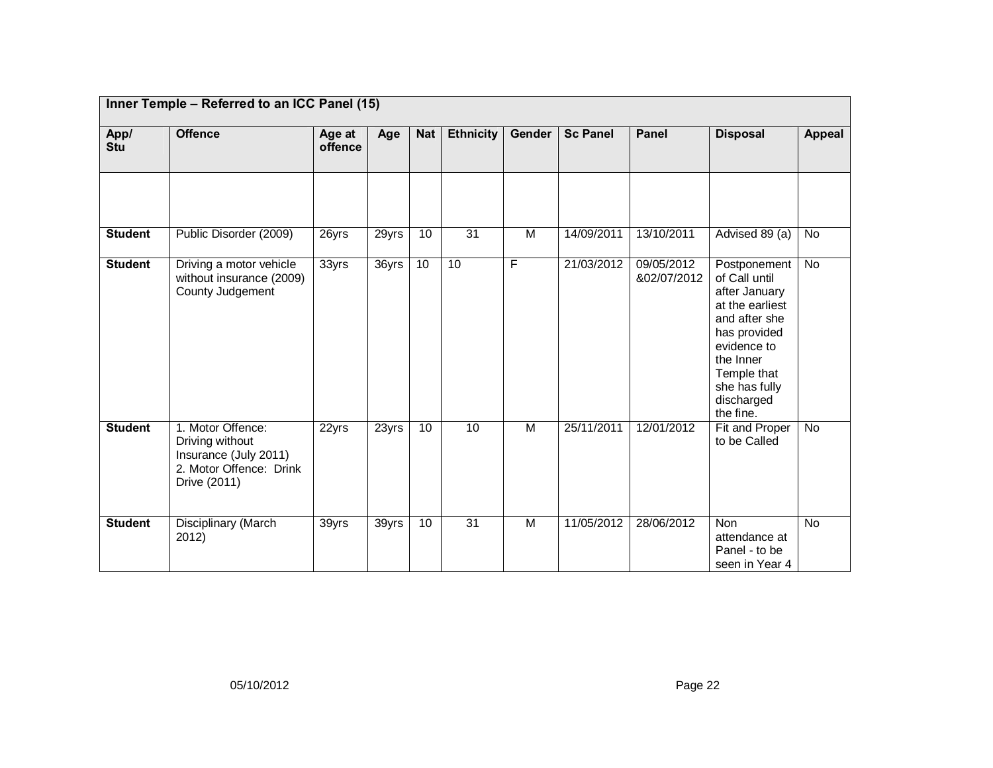|                | Inner Temple - Referred to an ICC Panel (15)                                                             |                   |                     |            |                  |                |                 |                           |                                                                                                                                                                                           |                |
|----------------|----------------------------------------------------------------------------------------------------------|-------------------|---------------------|------------|------------------|----------------|-----------------|---------------------------|-------------------------------------------------------------------------------------------------------------------------------------------------------------------------------------------|----------------|
| App/<br>Stu    | <b>Offence</b>                                                                                           | Age at<br>offence | Age                 | <b>Nat</b> | <b>Ethnicity</b> | Gender         | <b>Sc Panel</b> | Panel                     | <b>Disposal</b>                                                                                                                                                                           | <b>Appeal</b>  |
|                |                                                                                                          |                   |                     |            |                  |                |                 |                           |                                                                                                                                                                                           |                |
| <b>Student</b> | Public Disorder (2009)                                                                                   | 26yrs             | 29yrs               | 10         | $\overline{31}$  | M              | 14/09/2011      | 13/10/2011                | Advised 89 (a)                                                                                                                                                                            | No             |
| <b>Student</b> | Driving a motor vehicle<br>without insurance (2009)<br>County Judgement                                  | 33yrs             | $\overline{36}$ yrs | 10         | 10               | F              | 21/03/2012      | 09/05/2012<br>&02/07/2012 | Postponement<br>of Call until<br>after January<br>at the earliest<br>and after she<br>has provided<br>evidence to<br>the Inner<br>Temple that<br>she has fully<br>discharged<br>the fine. | $\overline{N}$ |
| <b>Student</b> | 1. Motor Offence:<br>Driving without<br>Insurance (July 2011)<br>2. Motor Offence: Drink<br>Drive (2011) | 22yrs             | 23yrs               | 10         | $\overline{10}$  | M              | 25/11/2011      | 12/01/2012                | Fit and Proper<br>to be Called                                                                                                                                                            | $\overline{N}$ |
| <b>Student</b> | Disciplinary (March<br>2012)                                                                             | 39yrs             | 39yrs               | 10         | 31               | $\overline{M}$ | 11/05/2012      | 28/06/2012                | <b>Non</b><br>attendance at<br>Panel - to be<br>seen in Year 4                                                                                                                            | <b>No</b>      |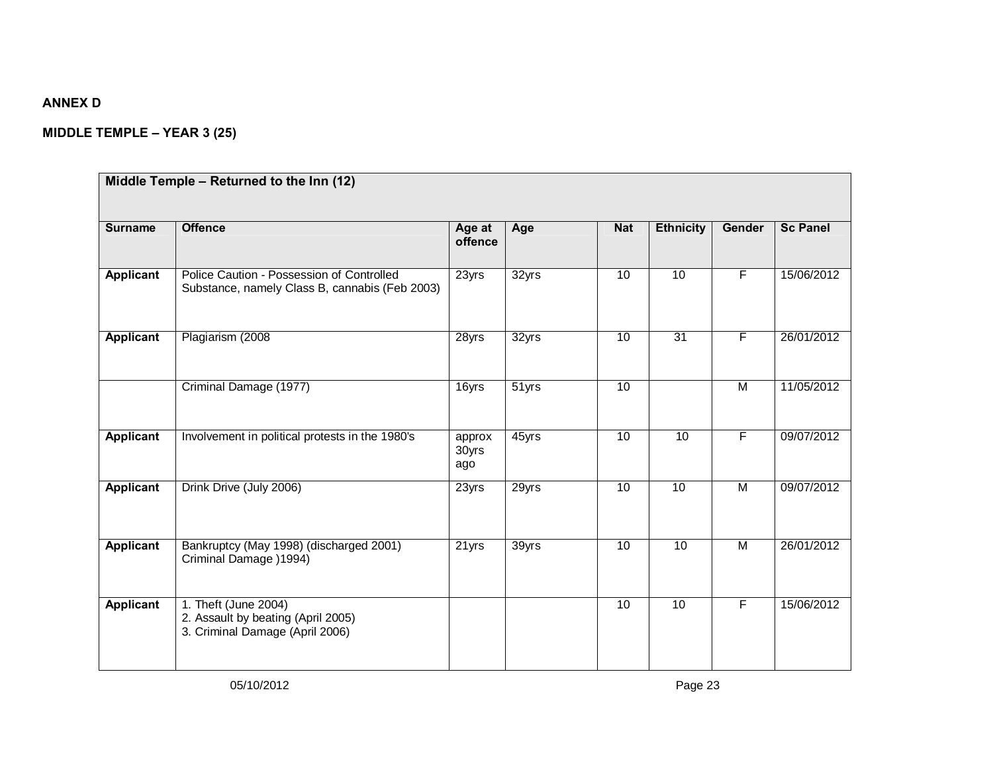## **ANNEX D**

# **MIDDLE TEMPLE – YEAR 3 (25)**

| <b>Surname</b>   | <b>Offence</b>                                                                                | Age at<br>offence      | Age   | <b>Nat</b> | <b>Ethnicity</b> | Gender         | <b>Sc Panel</b> |
|------------------|-----------------------------------------------------------------------------------------------|------------------------|-------|------------|------------------|----------------|-----------------|
| Applicant        | Police Caution - Possession of Controlled<br>Substance, namely Class B, cannabis (Feb 2003)   | 23yrs                  | 32yrs | 10         | 10               | $\overline{F}$ | 15/06/2012      |
| <b>Applicant</b> | Plagiarism (2008)                                                                             | 28yrs                  | 32yrs | 10         | 31               | F              | 26/01/2012      |
|                  | Criminal Damage (1977)                                                                        | 16yrs                  | 51yrs | 10         |                  | M              | 11/05/2012      |
| <b>Applicant</b> | Involvement in political protests in the 1980's                                               | approx<br>30yrs<br>ago | 45yrs | 10         | 10               | F              | 09/07/2012      |
| Applicant        | Drink Drive (July 2006)                                                                       | 23yrs                  | 29yrs | 10         | 10               | $\overline{M}$ | 09/07/2012      |
| Applicant        | Bankruptcy (May 1998) (discharged 2001)<br>Criminal Damage ) 1994)                            | $\overline{2}$ 1 yrs   | 39yrs | 10         | 10               | $\overline{M}$ | 26/01/2012      |
| Applicant        | 1. Theft (June 2004)<br>2. Assault by beating (April 2005)<br>3. Criminal Damage (April 2006) |                        |       | 10         | 10               | F              | 15/06/2012      |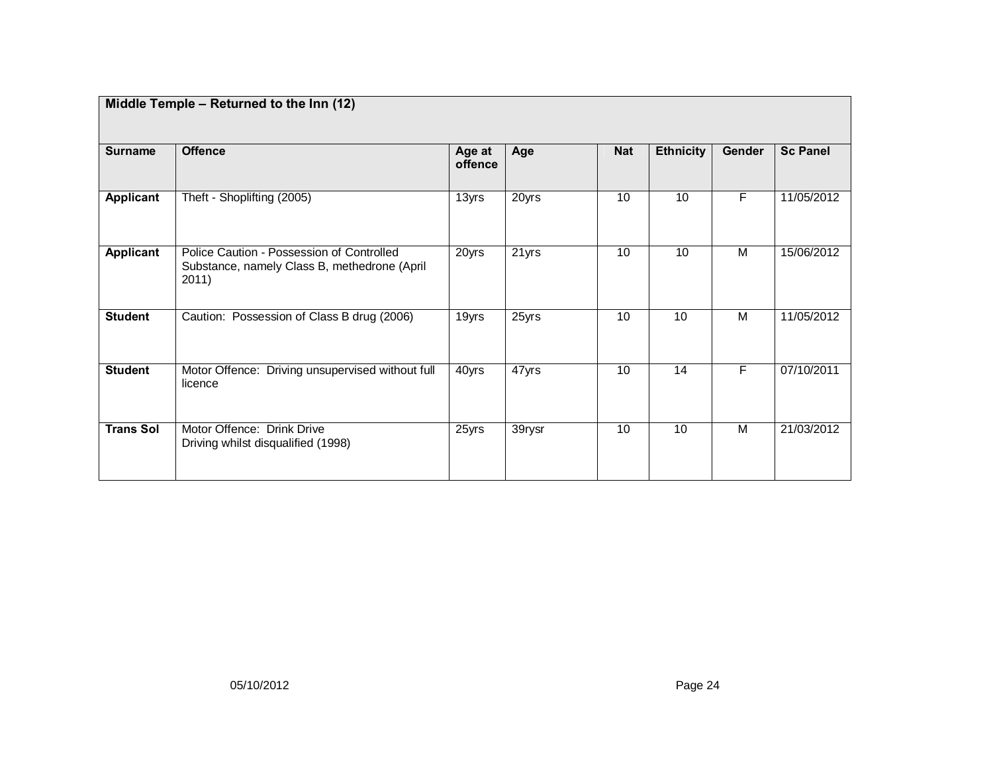| Middle Temple - Returned to the Inn (12) |                                                                                                    |                   |        |            |                  |        |                 |  |
|------------------------------------------|----------------------------------------------------------------------------------------------------|-------------------|--------|------------|------------------|--------|-----------------|--|
| <b>Surname</b>                           | <b>Offence</b>                                                                                     | Age at<br>offence | Age    | <b>Nat</b> | <b>Ethnicity</b> | Gender | <b>Sc Panel</b> |  |
| <b>Applicant</b>                         | Theft - Shoplifting (2005)                                                                         | 13yrs             | 20yrs  | 10         | 10               | F      | 11/05/2012      |  |
| Applicant                                | Police Caution - Possession of Controlled<br>Substance, namely Class B, methedrone (April<br>2011) | 20yrs             | 21yrs  | 10         | 10               | M      | 15/06/2012      |  |
| <b>Student</b>                           | Caution: Possession of Class B drug (2006)                                                         | 19yrs             | 25yrs  | 10         | 10               | M      | 11/05/2012      |  |
| <b>Student</b>                           | Motor Offence: Driving unsupervised without full<br>licence                                        | 40yrs             | 47yrs  | 10         | 14               | F      | 07/10/2011      |  |
| <b>Trans Sol</b>                         | Motor Offence: Drink Drive<br>Driving whilst disqualified (1998)                                   | 25yrs             | 39rysr | 10         | 10               | M      | 21/03/2012      |  |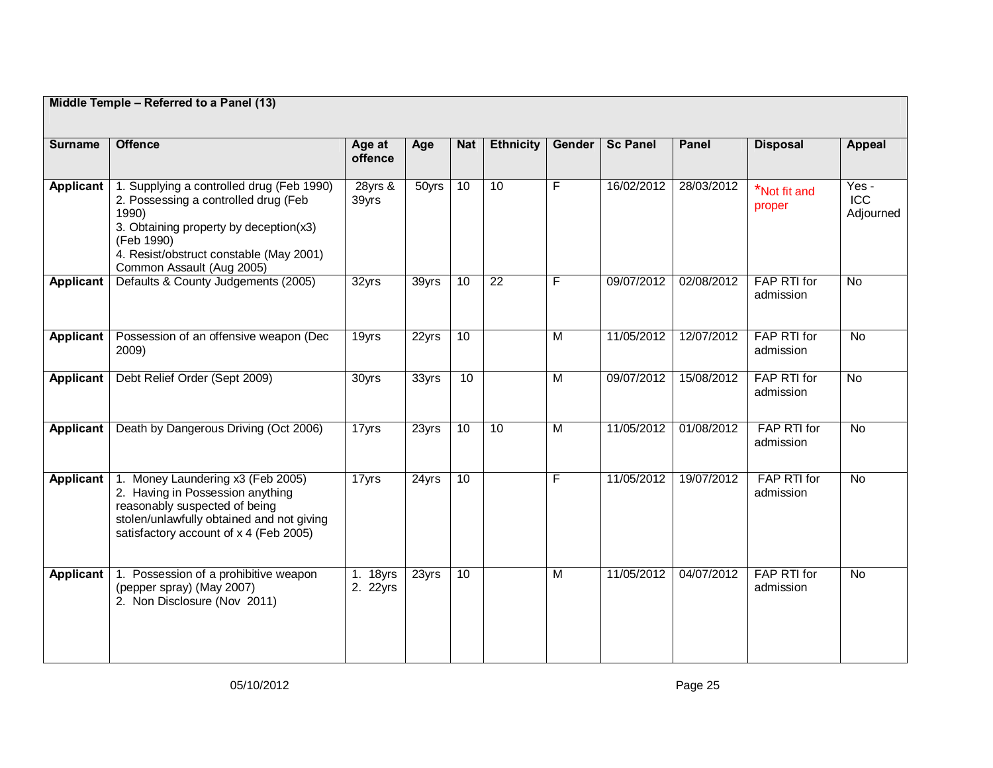|                  | Middle Temple - Referred to a Panel (13)                                                                                                                                                                                   |                      |       |            |                  |                         |                 |            |                          |                                  |
|------------------|----------------------------------------------------------------------------------------------------------------------------------------------------------------------------------------------------------------------------|----------------------|-------|------------|------------------|-------------------------|-----------------|------------|--------------------------|----------------------------------|
| <b>Surname</b>   | <b>Offence</b>                                                                                                                                                                                                             | Age at<br>offence    | Age   | <b>Nat</b> | <b>Ethnicity</b> | Gender                  | <b>Sc Panel</b> | Panel      | <b>Disposal</b>          | <b>Appeal</b>                    |
| Applicant        | 1. Supplying a controlled drug (Feb 1990)<br>2. Possessing a controlled drug (Feb<br>1990)<br>3. Obtaining property by deception(x3)<br>(Feb 1990)<br>4. Resist/obstruct constable (May 2001)<br>Common Assault (Aug 2005) | 28yrs &<br>39yrs     | 50yrs | 10         | 10               | $\overline{F}$          | 16/02/2012      | 28/03/2012 | *Not fit and<br>proper   | Yes -<br><b>ICC</b><br>Adjourned |
| <b>Applicant</b> | Defaults & County Judgements (2005)                                                                                                                                                                                        | 32yrs                | 39yrs | 10         | $\overline{22}$  | $\overline{F}$          | 09/07/2012      | 02/08/2012 | FAP RTI for<br>admission | <b>No</b>                        |
| Applicant        | Possession of an offensive weapon (Dec<br>2009)                                                                                                                                                                            | 19yrs                | 22yrs | 10         |                  | $\overline{\mathsf{M}}$ | 11/05/2012      | 12/07/2012 | FAP RTI for<br>admission | $\overline{N}$                   |
| <b>Applicant</b> | Debt Relief Order (Sept 2009)                                                                                                                                                                                              | 30yrs                | 33yrs | 10         |                  | M                       | 09/07/2012      | 15/08/2012 | FAP RTI for<br>admission | <b>No</b>                        |
| Applicant        | Death by Dangerous Driving (Oct 2006)                                                                                                                                                                                      | 17yrs                | 23yrs | 10         | 10               | $\overline{M}$          | 11/05/2012      | 01/08/2012 | FAP RTI for<br>admission | <b>No</b>                        |
| Applicant        | Money Laundering x3 (Feb 2005)<br>2. Having in Possession anything<br>reasonably suspected of being<br>stolen/unlawfully obtained and not giving<br>satisfactory account of x 4 (Feb 2005)                                 | 17yrs                | 24yrs | 10         |                  | F                       | 11/05/2012      | 19/07/2012 | FAP RTI for<br>admission | $\overline{N}$                   |
| <b>Applicant</b> | 1. Possession of a prohibitive weapon<br>(pepper spray) (May 2007)<br>2. Non Disclosure (Nov 2011)                                                                                                                         | 1. 18yrs<br>2. 22yrs | 23yrs | 10         |                  | M                       | 11/05/2012      | 04/07/2012 | FAP RTI for<br>admission | No                               |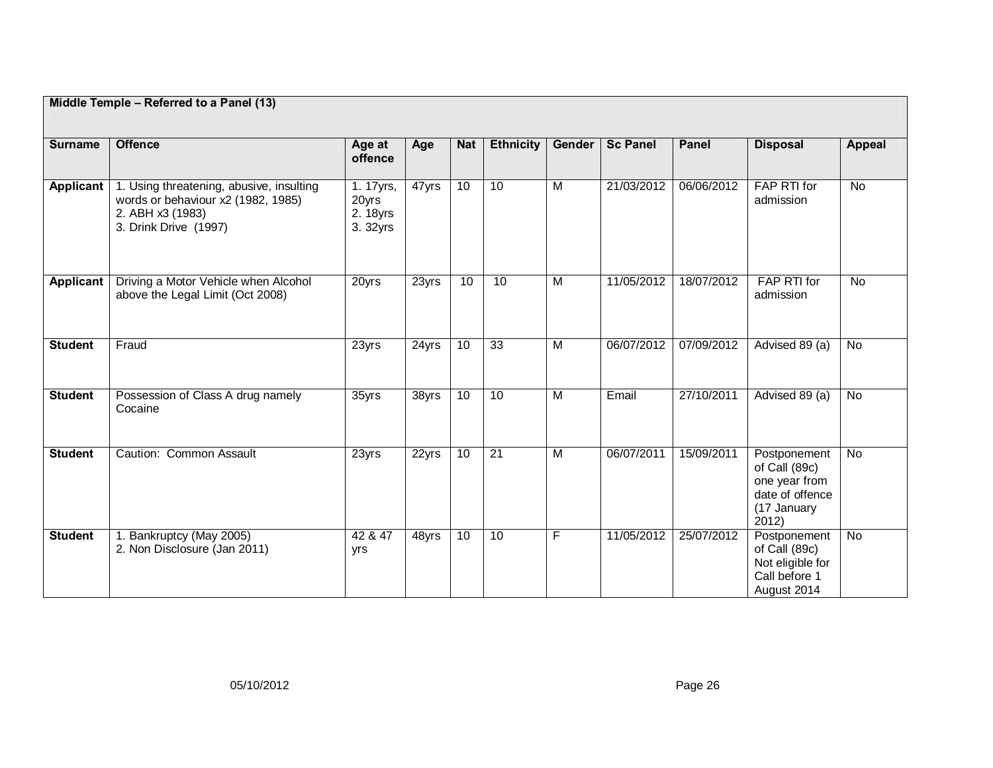|                  | Middle Temple - Referred to a Panel (13)                                                                                    |                                            |                     |            |                  |                         |                 |              |                                                                                           |                |
|------------------|-----------------------------------------------------------------------------------------------------------------------------|--------------------------------------------|---------------------|------------|------------------|-------------------------|-----------------|--------------|-------------------------------------------------------------------------------------------|----------------|
| <b>Surname</b>   | <b>Offence</b>                                                                                                              | Age at<br>offence                          | Age                 | <b>Nat</b> | <b>Ethnicity</b> | Gender                  | <b>Sc Panel</b> | <b>Panel</b> | <b>Disposal</b>                                                                           | <b>Appeal</b>  |
| <b>Applicant</b> | 1. Using threatening, abusive, insulting<br>words or behaviour x2 (1982, 1985)<br>2. ABH x3 (1983)<br>3. Drink Drive (1997) | 1. 17yrs,<br>20yrs<br>2. 18yrs<br>3. 32yrs | 47yrs               | 10         | 10               | $\overline{\mathsf{M}}$ | 21/03/2012      | 06/06/2012   | FAP RTI for<br>admission                                                                  | <b>No</b>      |
| Applicant        | Driving a Motor Vehicle when Alcohol<br>above the Legal Limit (Oct 2008)                                                    | 20yrs                                      | 23yrs               | 10         | 10               | $\overline{\mathsf{M}}$ | 11/05/2012      | 18/07/2012   | FAP RTI for<br>admission                                                                  | $\overline{N}$ |
| <b>Student</b>   | Fraud                                                                                                                       | 23yrs                                      | 24yrs               | 10         | 33               | $\overline{M}$          | 06/07/2012      | 07/09/2012   | Advised 89 (a)                                                                            | No.            |
| <b>Student</b>   | Possession of Class A drug namely<br>Cocaine                                                                                | 35yrs                                      | $\overline{3}8$ yrs | 10         | 10               | $\overline{M}$          | Email           | 27/10/2011   | Advised 89 (a)                                                                            | <b>No</b>      |
| <b>Student</b>   | Caution: Common Assault                                                                                                     | 23yrs                                      | 22yrs               | 10         | $\overline{21}$  | $\overline{M}$          | 06/07/2011      | 15/09/2011   | Postponement<br>of Call (89c)<br>one year from<br>date of offence<br>(17 January<br>2012) | No.            |
| <b>Student</b>   | 1. Bankruptcy (May 2005)<br>2. Non Disclosure (Jan 2011)                                                                    | 42 & 47<br>yrs                             | 48yrs               | 10         | 10               | F                       | 11/05/2012      | 25/07/2012   | Postponement<br>of Call (89c)<br>Not eligible for<br>Call before 1<br>August 2014         | <b>No</b>      |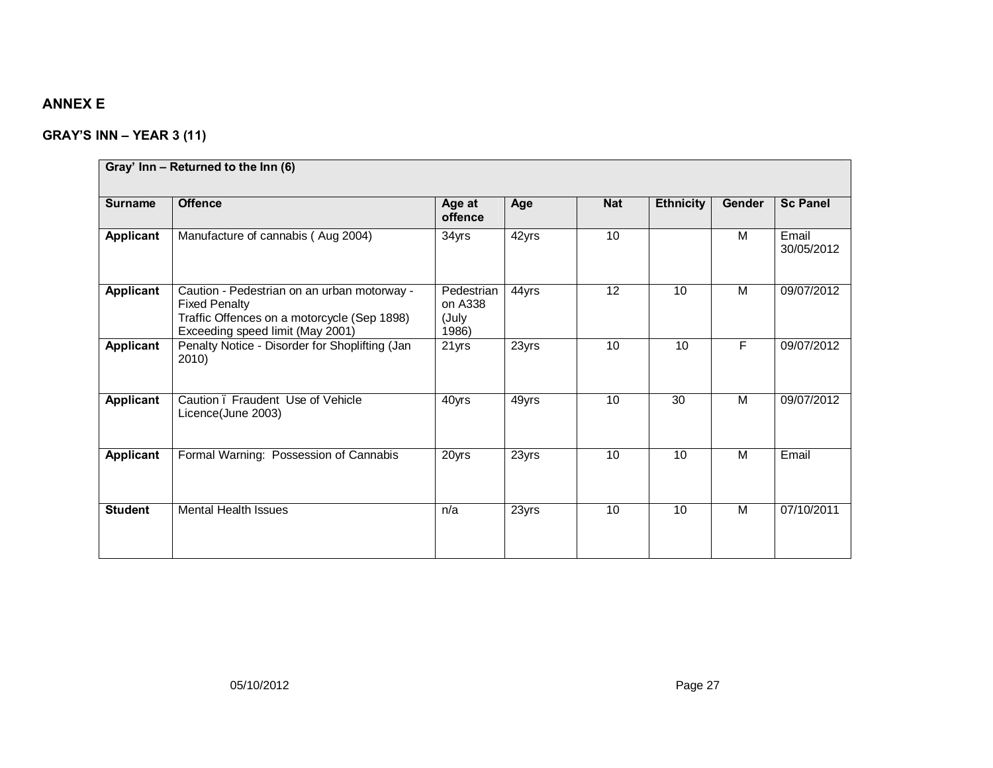# **ANNEX E**

# **GRAY'S INN – YEAR 3 (11)**

|                | Gray' Inn - Returned to the Inn (6)                                                                                                                    |                                         |       |            |                  |        |                     |
|----------------|--------------------------------------------------------------------------------------------------------------------------------------------------------|-----------------------------------------|-------|------------|------------------|--------|---------------------|
| <b>Surname</b> | <b>Offence</b>                                                                                                                                         | Age at<br>offence                       | Age   | <b>Nat</b> | <b>Ethnicity</b> | Gender | <b>Sc Panel</b>     |
| Applicant      | Manufacture of cannabis (Aug 2004)                                                                                                                     | 34yrs                                   | 42yrs | 10         |                  | M      | Email<br>30/05/2012 |
| Applicant      | Caution - Pedestrian on an urban motorway -<br><b>Fixed Penalty</b><br>Traffic Offences on a motorcycle (Sep 1898)<br>Exceeding speed limit (May 2001) | Pedestrian<br>on A338<br>(July<br>1986) | 44yrs | 12         | 10               | M      | 09/07/2012          |
| Applicant      | Penalty Notice - Disorder for Shoplifting (Jan<br>2010)                                                                                                | 21yrs                                   | 23yrs | 10         | 10               | F      | 09/07/2012          |
| Applicant      | Caution . Fraudent Use of Vehicle<br>Licence(June 2003)                                                                                                | 40yrs                                   | 49yrs | 10         | 30               | M      | 09/07/2012          |
| Applicant      | Formal Warning: Possession of Cannabis                                                                                                                 | 20yrs                                   | 23yrs | 10         | 10               | M      | Email               |
| <b>Student</b> | <b>Mental Health Issues</b>                                                                                                                            | n/a                                     | 23yrs | 10         | 10               | M      | 07/10/2011          |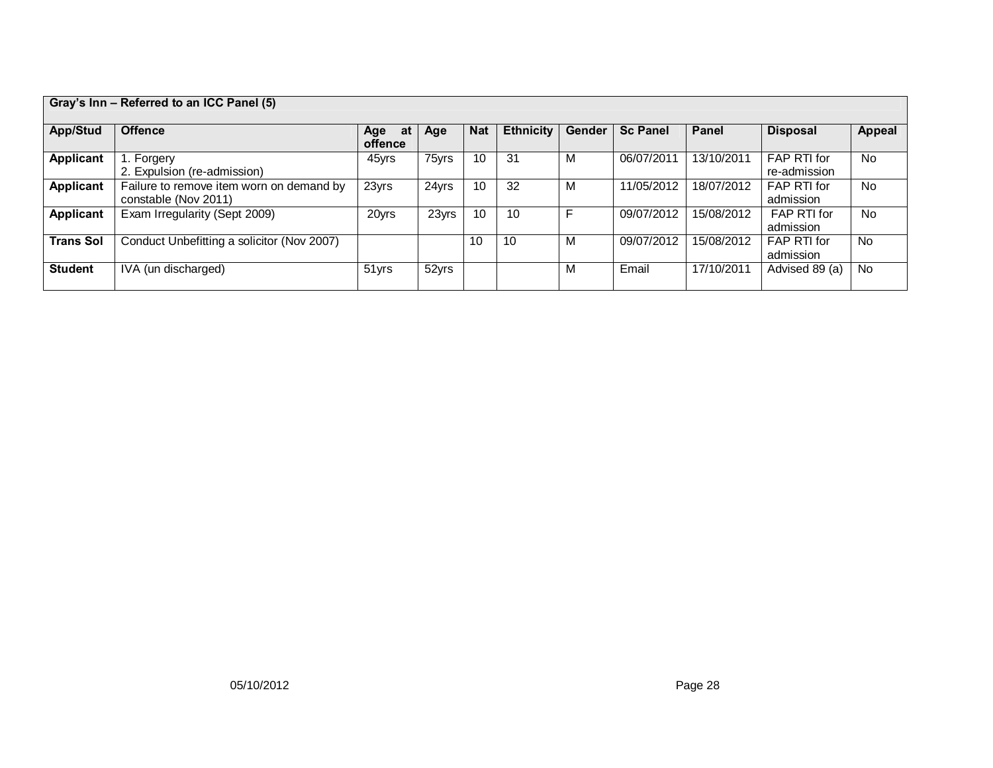| Gray's Inn - Referred to an ICC Panel (5) |                                            |           |       |            |                  |        |                 |            |                 |               |
|-------------------------------------------|--------------------------------------------|-----------|-------|------------|------------------|--------|-----------------|------------|-----------------|---------------|
|                                           |                                            |           |       |            |                  |        |                 |            |                 |               |
| App/Stud                                  | <b>Offence</b>                             | at<br>Age | Age   | <b>Nat</b> | <b>Ethnicity</b> | Gender | <b>Sc Panel</b> | Panel      | <b>Disposal</b> | <b>Appeal</b> |
|                                           |                                            | offence   |       |            |                  |        |                 |            |                 |               |
| <b>Applicant</b>                          | Forgery                                    | 45yrs     | 75yrs | 10         | 3 <sup>1</sup>   | M      | 06/07/2011      | 13/10/2011 | FAP RTI for     | <b>No</b>     |
|                                           | 2. Expulsion (re-admission)                |           |       |            |                  |        |                 |            | re-admission    |               |
| <b>Applicant</b>                          | Failure to remove item worn on demand by   | 23yrs     | 24yrs | 10         | 32               | M      | 11/05/2012      | 18/07/2012 | FAP RTI for     | <b>No</b>     |
|                                           | constable (Nov 2011)                       |           |       |            |                  |        |                 |            | admission       |               |
| <b>Applicant</b>                          | Exam Irregularity (Sept 2009)              | 20yrs     | 23yrs | 10         | 10               |        | 09/07/2012      | 15/08/2012 | FAP RTI for     | <b>No</b>     |
|                                           |                                            |           |       |            |                  |        |                 |            | admission       |               |
| <b>Trans Sol</b>                          | Conduct Unbefitting a solicitor (Nov 2007) |           |       | 10         | 10               | M      | 09/07/2012      | 15/08/2012 | FAP RTI for     | <b>No</b>     |
|                                           |                                            |           |       |            |                  |        |                 |            | admission       |               |
| <b>Student</b>                            | IVA (un discharged)                        | 51yrs     | 52yrs |            |                  | м      | Email           | 17/10/2011 | Advised 89 (a)  | No            |
|                                           |                                            |           |       |            |                  |        |                 |            |                 |               |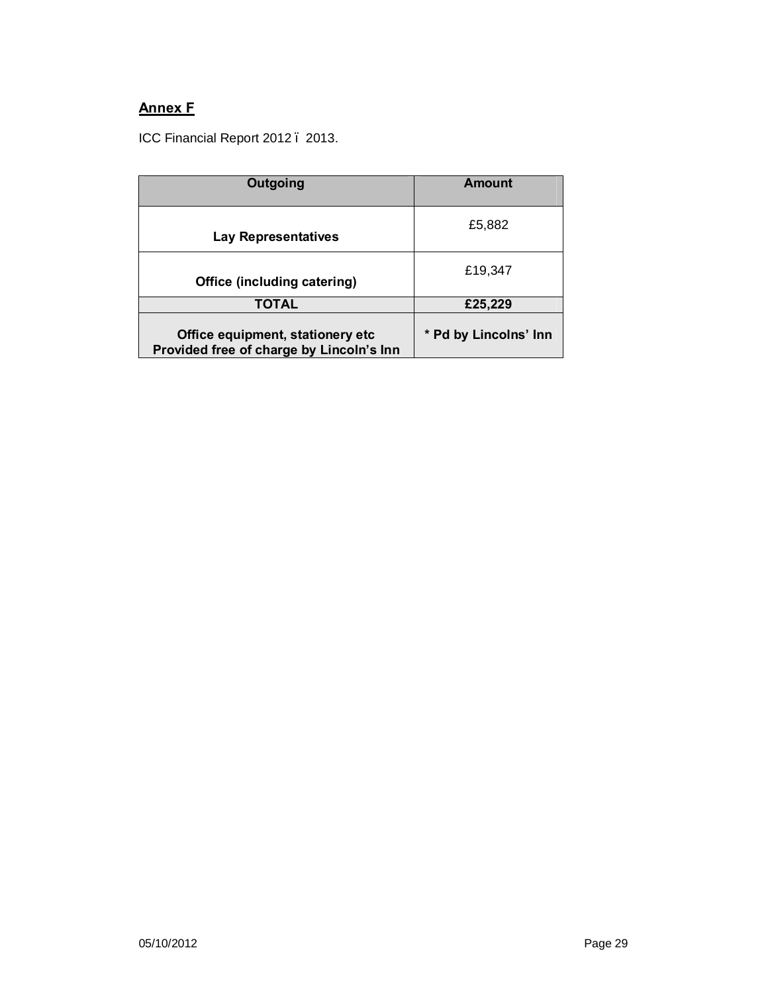# **Annex F**

ICC Financial Report 2012 . 2013.

| Outgoing                                                                     | Amount                |  |  |  |
|------------------------------------------------------------------------------|-----------------------|--|--|--|
| Lay Representatives                                                          | £5,882                |  |  |  |
| Office (including catering)                                                  | £19,347               |  |  |  |
| TOTAL                                                                        | £25,229               |  |  |  |
| Office equipment, stationery etc<br>Provided free of charge by Lincoln's Inn | * Pd by Lincolns' Inn |  |  |  |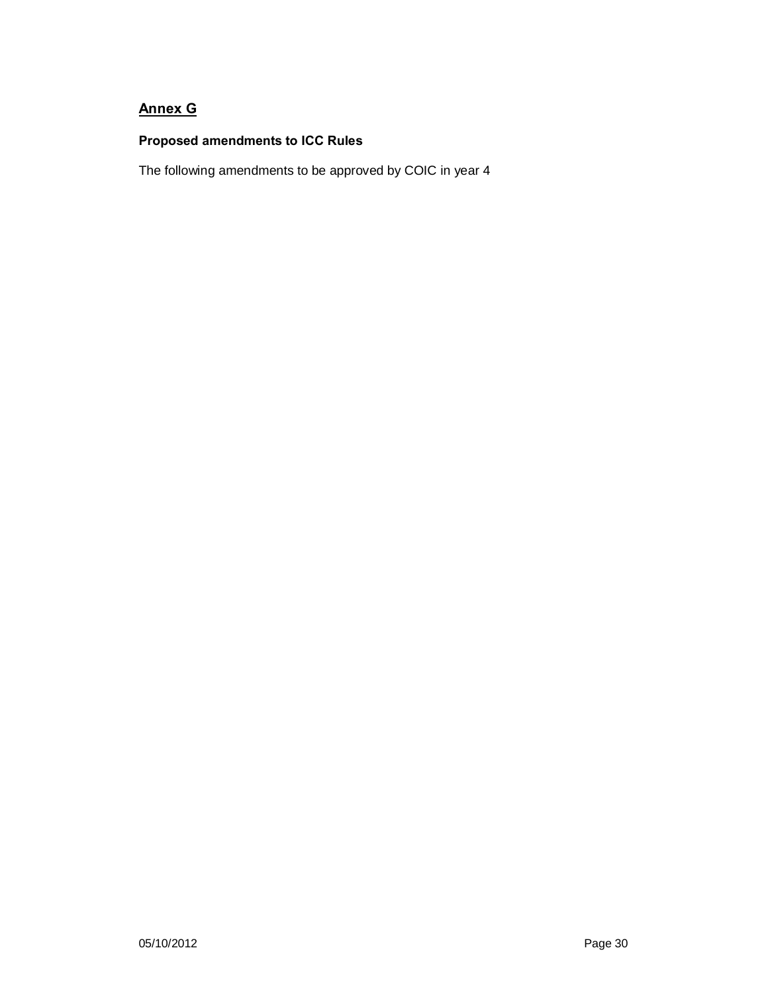# **Annex G**

## **Proposed amendments to ICC Rules**

The following amendments to be approved by COIC in year 4